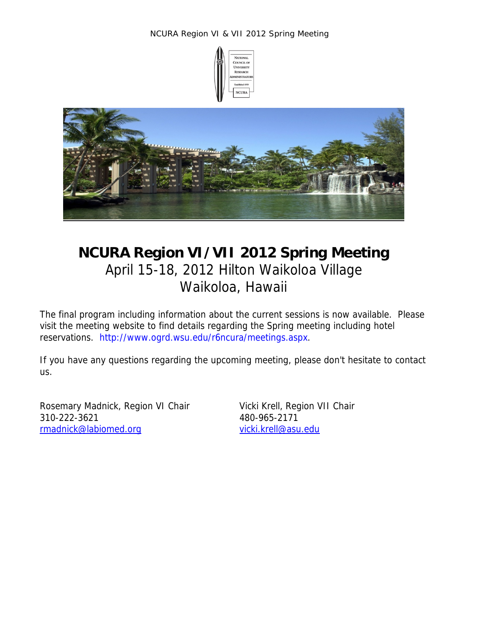



# **NCURA Region VI/VII 2012 Spring Meeting**  April 15-18, 2012 Hilton Waikoloa Village Waikoloa, Hawaii

The final program including information about the current sessions is now available. Please visit the meeting website to find details regarding the Spring meeting including hotel reservations. http://www.ogrd.wsu.edu/r6ncura/meetings.aspx.

If you have any questions regarding the upcoming meeting, please don't hesitate to contact us.

Rosemary Madnick, Region VI ChairVicki Krell, Region VII Chair 310-222-3621 480-965-2171 rmadnick@labiomed.org vicki.krell@asu.edu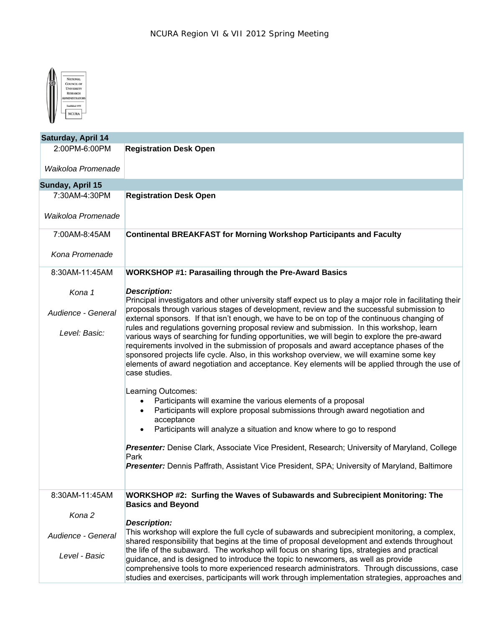

| <b>Saturday, April 14</b> |                                                                                                                                                                                                                                                                                                                                                                                                                                                                                                 |
|---------------------------|-------------------------------------------------------------------------------------------------------------------------------------------------------------------------------------------------------------------------------------------------------------------------------------------------------------------------------------------------------------------------------------------------------------------------------------------------------------------------------------------------|
| 2:00PM-6:00PM             | <b>Registration Desk Open</b>                                                                                                                                                                                                                                                                                                                                                                                                                                                                   |
| Waikoloa Promenade        |                                                                                                                                                                                                                                                                                                                                                                                                                                                                                                 |
| Sunday, April 15          |                                                                                                                                                                                                                                                                                                                                                                                                                                                                                                 |
| 7:30AM-4:30PM             | <b>Registration Desk Open</b>                                                                                                                                                                                                                                                                                                                                                                                                                                                                   |
| Waikoloa Promenade        |                                                                                                                                                                                                                                                                                                                                                                                                                                                                                                 |
| 7:00AM-8:45AM             | <b>Continental BREAKFAST for Morning Workshop Participants and Faculty</b>                                                                                                                                                                                                                                                                                                                                                                                                                      |
| Kona Promenade            |                                                                                                                                                                                                                                                                                                                                                                                                                                                                                                 |
| 8:30AM-11:45AM            | WORKSHOP #1: Parasailing through the Pre-Award Basics                                                                                                                                                                                                                                                                                                                                                                                                                                           |
| Kona 1                    | <b>Description:</b><br>Principal investigators and other university staff expect us to play a major role in facilitating their                                                                                                                                                                                                                                                                                                                                                                  |
| Audience - General        | proposals through various stages of development, review and the successful submission to<br>external sponsors. If that isn't enough, we have to be on top of the continuous changing of                                                                                                                                                                                                                                                                                                         |
| Level: Basic:             | rules and regulations governing proposal review and submission. In this workshop, learn<br>various ways of searching for funding opportunities, we will begin to explore the pre-award<br>requirements involved in the submission of proposals and award acceptance phases of the<br>sponsored projects life cycle. Also, in this workshop overview, we will examine some key<br>elements of award negotiation and acceptance. Key elements will be applied through the use of<br>case studies. |
|                           | Learning Outcomes:<br>Participants will examine the various elements of a proposal<br>Participants will explore proposal submissions through award negotiation and<br>acceptance<br>Participants will analyze a situation and know where to go to respond<br>Presenter: Denise Clark, Associate Vice President, Research; University of Maryland, College<br>Park<br>Presenter: Dennis Paffrath, Assistant Vice President, SPA; University of Maryland, Baltimore                               |
| 8:30AM-11:45AM            | WORKSHOP #2: Surfing the Waves of Subawards and Subrecipient Monitoring: The<br><b>Basics and Beyond</b>                                                                                                                                                                                                                                                                                                                                                                                        |
| Kona 2                    | <b>Description:</b>                                                                                                                                                                                                                                                                                                                                                                                                                                                                             |
| Audience - General        | This workshop will explore the full cycle of subawards and subrecipient monitoring, a complex,<br>shared responsibility that begins at the time of proposal development and extends throughout                                                                                                                                                                                                                                                                                                  |
| Level - Basic             | the life of the subaward. The workshop will focus on sharing tips, strategies and practical<br>guidance, and is designed to introduce the topic to newcomers, as well as provide<br>comprehensive tools to more experienced research administrators. Through discussions, case<br>studies and exercises, participants will work through implementation strategies, approaches and                                                                                                               |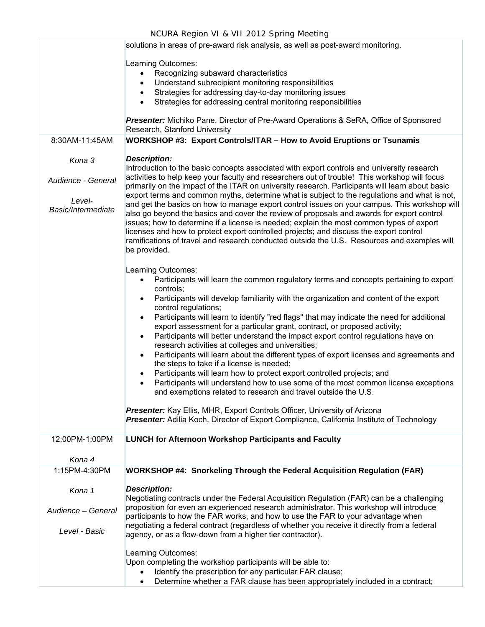|                                                    | NCURA Region VI & VII 2012 Spring Meeting                                                                                                                                                                                                                                                                                                                                                                                                                                                                                                                                                                                                                                                                                                                                                                                                                                                                                                                                                                                                                                                                                                                                          |
|----------------------------------------------------|------------------------------------------------------------------------------------------------------------------------------------------------------------------------------------------------------------------------------------------------------------------------------------------------------------------------------------------------------------------------------------------------------------------------------------------------------------------------------------------------------------------------------------------------------------------------------------------------------------------------------------------------------------------------------------------------------------------------------------------------------------------------------------------------------------------------------------------------------------------------------------------------------------------------------------------------------------------------------------------------------------------------------------------------------------------------------------------------------------------------------------------------------------------------------------|
|                                                    | solutions in areas of pre-award risk analysis, as well as post-award monitoring.                                                                                                                                                                                                                                                                                                                                                                                                                                                                                                                                                                                                                                                                                                                                                                                                                                                                                                                                                                                                                                                                                                   |
| 8:30AM-11:45AM<br>Kona 3                           | Learning Outcomes:<br>Recognizing subaward characteristics<br>$\bullet$<br>Understand subrecipient monitoring responsibilities<br>$\bullet$<br>Strategies for addressing day-to-day monitoring issues<br>$\bullet$<br>Strategies for addressing central monitoring responsibilities<br>Presenter: Michiko Pane, Director of Pre-Award Operations & SeRA, Office of Sponsored<br>Research, Stanford University<br><b>WORKSHOP #3: Export Controls/ITAR - How to Avoid Eruptions or Tsunamis</b><br><b>Description:</b>                                                                                                                                                                                                                                                                                                                                                                                                                                                                                                                                                                                                                                                              |
|                                                    | Introduction to the basic concepts associated with export controls and university research                                                                                                                                                                                                                                                                                                                                                                                                                                                                                                                                                                                                                                                                                                                                                                                                                                                                                                                                                                                                                                                                                         |
| Audience - General<br>Level-<br>Basic/Intermediate | activities to help keep your faculty and researchers out of trouble! This workshop will focus<br>primarily on the impact of the ITAR on university research. Participants will learn about basic<br>export terms and common myths, determine what is subject to the regulations and what is not,<br>and get the basics on how to manage export control issues on your campus. This workshop will<br>also go beyond the basics and cover the review of proposals and awards for export control<br>issues; how to determine if a license is needed; explain the most common types of export<br>licenses and how to protect export controlled projects; and discuss the export control<br>ramifications of travel and research conducted outside the U.S. Resources and examples will<br>be provided.                                                                                                                                                                                                                                                                                                                                                                                 |
|                                                    | Learning Outcomes:<br>Participants will learn the common regulatory terms and concepts pertaining to export<br>$\bullet$<br>controls;<br>Participants will develop familiarity with the organization and content of the export<br>$\bullet$<br>control regulations;<br>Participants will learn to identify "red flags" that may indicate the need for additional<br>$\bullet$<br>export assessment for a particular grant, contract, or proposed activity;<br>Participants will better understand the impact export control regulations have on<br>$\bullet$<br>research activities at colleges and universities;<br>Participants will learn about the different types of export licenses and agreements and<br>$\bullet$<br>the steps to take if a license is needed;<br>Participants will learn how to protect export controlled projects; and<br>Participants will understand how to use some of the most common license exceptions<br>and exemptions related to research and travel outside the U.S.<br>Presenter: Kay Ellis, MHR, Export Controls Officer, University of Arizona<br>Presenter: Adilia Koch, Director of Export Compliance, California Institute of Technology |
| 12:00PM-1:00PM                                     | <b>LUNCH for Afternoon Workshop Participants and Faculty</b>                                                                                                                                                                                                                                                                                                                                                                                                                                                                                                                                                                                                                                                                                                                                                                                                                                                                                                                                                                                                                                                                                                                       |
| Kona 4<br>1:15PM-4:30PM                            | WORKSHOP #4: Snorkeling Through the Federal Acquisition Regulation (FAR)                                                                                                                                                                                                                                                                                                                                                                                                                                                                                                                                                                                                                                                                                                                                                                                                                                                                                                                                                                                                                                                                                                           |
|                                                    |                                                                                                                                                                                                                                                                                                                                                                                                                                                                                                                                                                                                                                                                                                                                                                                                                                                                                                                                                                                                                                                                                                                                                                                    |
| Kona 1<br>Audience - General<br>Level - Basic      | <b>Description:</b><br>Negotiating contracts under the Federal Acquisition Regulation (FAR) can be a challenging<br>proposition for even an experienced research administrator. This workshop will introduce<br>participants to how the FAR works, and how to use the FAR to your advantage when<br>negotiating a federal contract (regardless of whether you receive it directly from a federal<br>agency, or as a flow-down from a higher tier contractor).                                                                                                                                                                                                                                                                                                                                                                                                                                                                                                                                                                                                                                                                                                                      |
|                                                    | Learning Outcomes:<br>Upon completing the workshop participants will be able to:<br>Identify the prescription for any particular FAR clause;<br>$\bullet$<br>Determine whether a FAR clause has been appropriately included in a contract;<br>$\bullet$                                                                                                                                                                                                                                                                                                                                                                                                                                                                                                                                                                                                                                                                                                                                                                                                                                                                                                                            |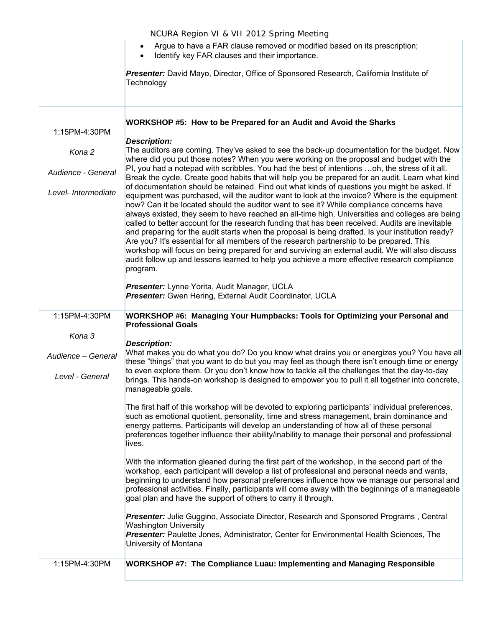| Argue to have a FAR clause removed or modified based on its prescription; |  |
|---------------------------------------------------------------------------|--|
|                                                                           |  |

Identify key FAR clauses and their importance.

*Presenter:* David Mayo, Director, Office of Sponsored Research, California Institute of **Technology** 

**WORKSHOP #5: How to be Prepared for an Audit and Avoid the Sharks**

1:15PM-4:30PM

*Kona 2 Audience - General Level- Intermediate Description:* The auditors are coming. They've asked to see the back-up documentation for the budget. Now where did you put those notes? When you were working on the proposal and budget with the PI, you had a notepad with scribbles. You had the best of intentions …oh, the stress of it all. Break the cycle. Create good habits that will help you be prepared for an audit. Learn what kind of documentation should be retained. Find out what kinds of questions you might be asked. If equipment was purchased, will the auditor want to look at the invoice? Where is the equipment now? Can it be located should the auditor want to see it? While compliance concerns have always existed, they seem to have reached an all-time high. Universities and colleges are being called to better account for the research funding that has been received. Audits are inevitable and preparing for the audit starts when the proposal is being drafted. Is your institution ready? Are you? It's essential for all members of the research partnership to be prepared. This workshop will focus on being prepared for and surviving an external audit. We will also discuss audit follow up and lessons learned to help you achieve a more effective research compliance program. *Presenter:* Lynne Yorita, Audit Manager, UCLA *Presenter:* Gwen Hering, External Audit Coordinator, UCLA 1:15PM-4:30PM *Kona 3 Audience – General Level - General*  **WORKSHOP #6: Managing Your Humpbacks: Tools for Optimizing your Personal and Professional Goals** *Description:* What makes you do what you do? Do you know what drains you or energizes you? You have all these "things" that you want to do but you may feel as though there isn't enough time or energy to even explore them. Or you don't know how to tackle all the challenges that the day-to-day brings. This hands-on workshop is designed to empower you to pull it all together into concrete, manageable goals.

> The first half of this workshop will be devoted to exploring participants' individual preferences, such as emotional quotient, personality, time and stress management, brain dominance and energy patterns. Participants will develop an understanding of how all of these personal preferences together influence their ability/inability to manage their personal and professional lives.

With the information gleaned during the first part of the workshop, in the second part of the workshop, each participant will develop a list of professional and personal needs and wants, beginning to understand how personal preferences influence how we manage our personal and professional activities. Finally, participants will come away with the beginnings of a manageable goal plan and have the support of others to carry it through.

*Presenter:* Julie Guggino, Associate Director, Research and Sponsored Programs , Central Washington University *Presenter:* Paulette Jones, Administrator, Center for Environmental Health Sciences, The University of Montana

#### 1:15PM-4:30PM **WORKSHOP #7: The Compliance Luau: Implementing and Managing Responsible**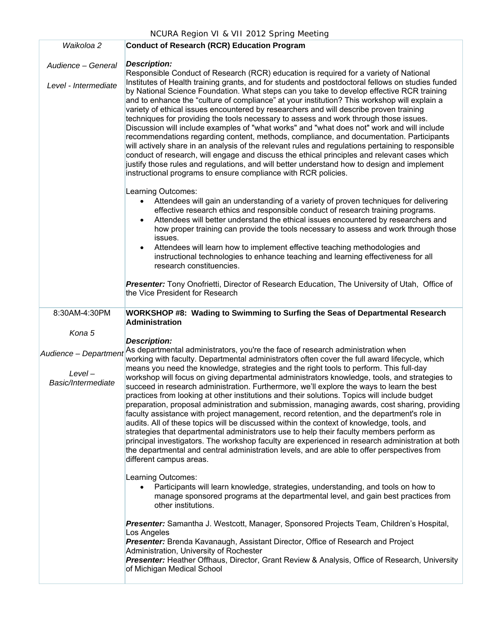#### NCURA Region VI & VII 2012 Spring Meeting *Waikoloa 2 Audience – General Level - Intermediate* **Conduct of Research (RCR) Education Program** *Description:* Responsible Conduct of Research (RCR) education is required for a variety of National Institutes of Health training grants, and for students and postdoctoral fellows on studies funded by National Science Foundation. What steps can you take to develop effective RCR training and to enhance the "culture of compliance" at your institution? This workshop will explain a variety of ethical issues encountered by researchers and will describe proven training techniques for providing the tools necessary to assess and work through those issues. Discussion will include examples of "what works" and "what does not" work and will include recommendations regarding content, methods, compliance, and documentation. Participants will actively share in an analysis of the relevant rules and regulations pertaining to responsible conduct of research, will engage and discuss the ethical principles and relevant cases which justify those rules and regulations, and will better understand how to design and implement instructional programs to ensure compliance with RCR policies. Learning Outcomes: Attendees will gain an understanding of a variety of proven techniques for delivering effective research ethics and responsible conduct of research training programs. Attendees will better understand the ethical issues encountered by researchers and how proper training can provide the tools necessary to assess and work through those issues. Attendees will learn how to implement effective teaching methodologies and instructional technologies to enhance teaching and learning effectiveness for all research constituencies. *Presenter:* Tony Onofrietti, Director of Research Education, The University of Utah, Office of the Vice President for Research 8:30AM-4:30PM *Kona 5 Audience – Department Level – Basic/Intermediate* **WORKSHOP #8: Wading to Swimming to Surfing the Seas of Departmental Research Administration** *Description:* As departmental administrators, you're the face of research administration when working with faculty. Departmental administrators often cover the full award lifecycle, which means you need the knowledge, strategies and the right tools to perform. This full‐day workshop will focus on giving departmental administrators knowledge, tools, and strategies to succeed in research administration. Furthermore, we'll explore the ways to learn the best practices from looking at other institutions and their solutions. Topics will include budget preparation, proposal administration and submission, managing awards, cost sharing, providing faculty assistance with project management, record retention, and the department's role in audits. All of these topics will be discussed within the context of knowledge, tools, and strategies that departmental administrators use to help their faculty members perform as principal investigators. The workshop faculty are experienced in research administration at both the departmental and central administration levels, and are able to offer perspectives from different campus areas. Learning Outcomes: Participants will learn knowledge, strategies, understanding, and tools on how to manage sponsored programs at the departmental level, and gain best practices from other institutions. *Presenter:* Samantha J. Westcott, Manager, Sponsored Projects Team, Children's Hospital, Los Angeles *Presenter:* Brenda Kavanaugh, Assistant Director, Office of Research and Project Administration, University of Rochester

**Presenter:** Heather Offhaus, Director, Grant Review & Analysis, Office of Research, University of Michigan Medical School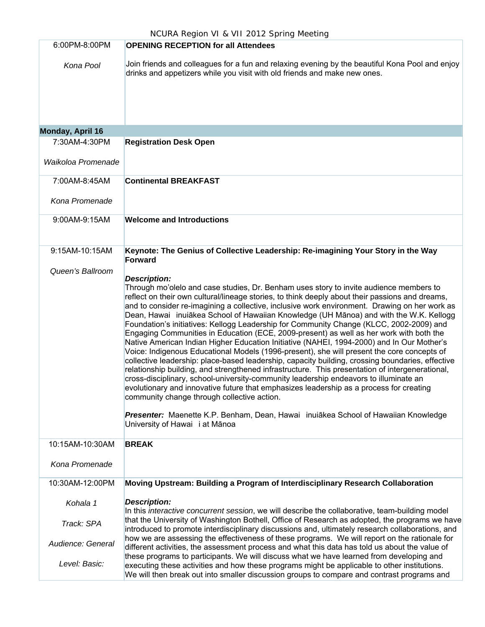| 6:00PM-8:00PM      | <b>OPENING RECEPTION for all Attendees</b>                                                                                                                                                                                                                                                                                                                                                                                                                                                                                                                                                                                                                                                                                                                                                                                                                                                                                                                                                                                                                                                                                                                                                                                                                                                                                                                     |
|--------------------|----------------------------------------------------------------------------------------------------------------------------------------------------------------------------------------------------------------------------------------------------------------------------------------------------------------------------------------------------------------------------------------------------------------------------------------------------------------------------------------------------------------------------------------------------------------------------------------------------------------------------------------------------------------------------------------------------------------------------------------------------------------------------------------------------------------------------------------------------------------------------------------------------------------------------------------------------------------------------------------------------------------------------------------------------------------------------------------------------------------------------------------------------------------------------------------------------------------------------------------------------------------------------------------------------------------------------------------------------------------|
| Kona Pool          | Join friends and colleagues for a fun and relaxing evening by the beautiful Kona Pool and enjoy<br>drinks and appetizers while you visit with old friends and make new ones.                                                                                                                                                                                                                                                                                                                                                                                                                                                                                                                                                                                                                                                                                                                                                                                                                                                                                                                                                                                                                                                                                                                                                                                   |
| Monday, April 16   |                                                                                                                                                                                                                                                                                                                                                                                                                                                                                                                                                                                                                                                                                                                                                                                                                                                                                                                                                                                                                                                                                                                                                                                                                                                                                                                                                                |
| 7:30AM-4:30PM      | <b>Registration Desk Open</b>                                                                                                                                                                                                                                                                                                                                                                                                                                                                                                                                                                                                                                                                                                                                                                                                                                                                                                                                                                                                                                                                                                                                                                                                                                                                                                                                  |
| Waikoloa Promenade |                                                                                                                                                                                                                                                                                                                                                                                                                                                                                                                                                                                                                                                                                                                                                                                                                                                                                                                                                                                                                                                                                                                                                                                                                                                                                                                                                                |
| 7:00AM-8:45AM      | <b>Continental BREAKFAST</b>                                                                                                                                                                                                                                                                                                                                                                                                                                                                                                                                                                                                                                                                                                                                                                                                                                                                                                                                                                                                                                                                                                                                                                                                                                                                                                                                   |
| Kona Promenade     |                                                                                                                                                                                                                                                                                                                                                                                                                                                                                                                                                                                                                                                                                                                                                                                                                                                                                                                                                                                                                                                                                                                                                                                                                                                                                                                                                                |
| 9:00AM-9:15AM      | <b>Welcome and Introductions</b>                                                                                                                                                                                                                                                                                                                                                                                                                                                                                                                                                                                                                                                                                                                                                                                                                                                                                                                                                                                                                                                                                                                                                                                                                                                                                                                               |
| 9:15AM-10:15AM     | Keynote: The Genius of Collective Leadership: Re-imagining Your Story in the Way<br><b>Forward</b>                                                                                                                                                                                                                                                                                                                                                                                                                                                                                                                                                                                                                                                                                                                                                                                                                                                                                                                                                                                                                                                                                                                                                                                                                                                             |
| Queen's Ballroom   | <b>Description:</b><br>Through mo'olelo and case studies, Dr. Benham uses story to invite audience members to<br>reflect on their own cultural/lineage stories, to think deeply about their passions and dreams,<br>and to consider re-imagining a collective, inclusive work environment. Drawing on her work as<br>Dean, Hawai inuiākea School of Hawaiian Knowledge (UH Mānoa) and with the W.K. Kellogg<br>Foundation's initiatives: Kellogg Leadership for Community Change (KLCC, 2002-2009) and<br>Engaging Communities in Education (ECE, 2009-present) as well as her work with both the<br>Native American Indian Higher Education Initiative (NAHEI, 1994-2000) and In Our Mother's<br>Voice: Indigenous Educational Models (1996-present), she will present the core concepts of<br>collective leadership: place-based leadership, capacity building, crossing boundaries, effective<br>relationship building, and strengthened infrastructure. This presentation of intergenerational,<br>cross-disciplinary, school-university-community leadership endeavors to illuminate an<br>evolutionary and innovative future that emphasizes leadership as a process for creating<br>community change through collective action.<br>Presenter: Maenette K.P. Benham, Dean, Hawai inuiākea School of Hawaiian Knowledge<br>University of Hawai i at Mānoa |
| 10:15AM-10:30AM    | <b>BREAK</b>                                                                                                                                                                                                                                                                                                                                                                                                                                                                                                                                                                                                                                                                                                                                                                                                                                                                                                                                                                                                                                                                                                                                                                                                                                                                                                                                                   |
| Kona Promenade     |                                                                                                                                                                                                                                                                                                                                                                                                                                                                                                                                                                                                                                                                                                                                                                                                                                                                                                                                                                                                                                                                                                                                                                                                                                                                                                                                                                |
| 10:30AM-12:00PM    | Moving Upstream: Building a Program of Interdisciplinary Research Collaboration                                                                                                                                                                                                                                                                                                                                                                                                                                                                                                                                                                                                                                                                                                                                                                                                                                                                                                                                                                                                                                                                                                                                                                                                                                                                                |
| Kohala 1           | <b>Description:</b><br>In this interactive concurrent session, we will describe the collaborative, team-building model                                                                                                                                                                                                                                                                                                                                                                                                                                                                                                                                                                                                                                                                                                                                                                                                                                                                                                                                                                                                                                                                                                                                                                                                                                         |
| Track: SPA         | that the University of Washington Bothell, Office of Research as adopted, the programs we have<br>introduced to promote interdisciplinary discussions and, ultimately research collaborations, and                                                                                                                                                                                                                                                                                                                                                                                                                                                                                                                                                                                                                                                                                                                                                                                                                                                                                                                                                                                                                                                                                                                                                             |
| Audience: General  | how we are assessing the effectiveness of these programs. We will report on the rationale for<br>different activities, the assessment process and what this data has told us about the value of                                                                                                                                                                                                                                                                                                                                                                                                                                                                                                                                                                                                                                                                                                                                                                                                                                                                                                                                                                                                                                                                                                                                                                |
| Level: Basic:      | these programs to participants. We will discuss what we have learned from developing and<br>executing these activities and how these programs might be applicable to other institutions.<br>We will then break out into smaller discussion groups to compare and contrast programs and                                                                                                                                                                                                                                                                                                                                                                                                                                                                                                                                                                                                                                                                                                                                                                                                                                                                                                                                                                                                                                                                         |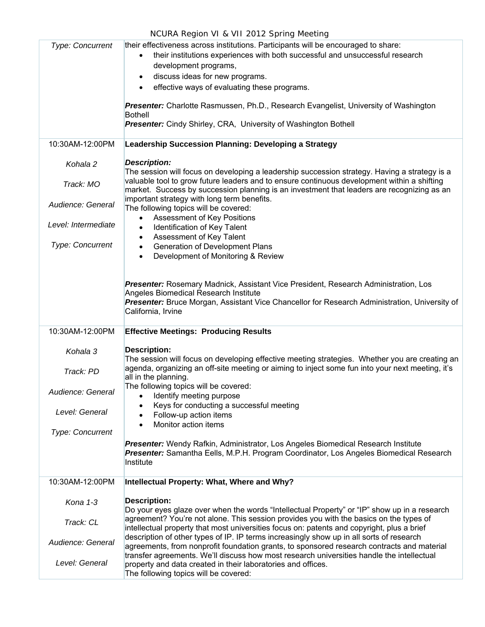| NCURA Region VI & VII 2012 Spring Meeting                                               |                                                                                                                                                                                                                                                                                                                                                                                                                                                                                                                                                                                                                                                                                                             |  |
|-----------------------------------------------------------------------------------------|-------------------------------------------------------------------------------------------------------------------------------------------------------------------------------------------------------------------------------------------------------------------------------------------------------------------------------------------------------------------------------------------------------------------------------------------------------------------------------------------------------------------------------------------------------------------------------------------------------------------------------------------------------------------------------------------------------------|--|
| <b>Type: Concurrent</b>                                                                 | their effectiveness across institutions. Participants will be encouraged to share:<br>their institutions experiences with both successful and unsuccessful research<br>$\bullet$<br>development programs,<br>discuss ideas for new programs.<br>$\bullet$<br>effective ways of evaluating these programs.<br>$\bullet$<br>Presenter: Charlotte Rasmussen, Ph.D., Research Evangelist, University of Washington<br><b>Bothell</b><br>Presenter: Cindy Shirley, CRA, University of Washington Bothell                                                                                                                                                                                                         |  |
| 10:30AM-12:00PM                                                                         | Leadership Succession Planning: Developing a Strategy                                                                                                                                                                                                                                                                                                                                                                                                                                                                                                                                                                                                                                                       |  |
| Kohala 2<br>Track: MO<br>Audience: General<br>Level: Intermediate<br>Type: Concurrent   | <b>Description:</b><br>The session will focus on developing a leadership succession strategy. Having a strategy is a<br>valuable tool to grow future leaders and to ensure continuous development within a shifting<br>market. Success by succession planning is an investment that leaders are recognizing as an<br>important strategy with long term benefits.<br>The following topics will be covered:<br><b>Assessment of Key Positions</b><br>$\bullet$<br>Identification of Key Talent<br>$\bullet$<br>Assessment of Key Talent<br>$\bullet$<br>Generation of Development Plans<br>$\bullet$<br>Development of Monitoring & Review<br>$\bullet$                                                       |  |
|                                                                                         | Presenter: Rosemary Madnick, Assistant Vice President, Research Administration, Los<br>Angeles Biomedical Research Institute<br>Presenter: Bruce Morgan, Assistant Vice Chancellor for Research Administration, University of<br>California, Irvine                                                                                                                                                                                                                                                                                                                                                                                                                                                         |  |
| 10:30AM-12:00PM                                                                         | <b>Effective Meetings: Producing Results</b>                                                                                                                                                                                                                                                                                                                                                                                                                                                                                                                                                                                                                                                                |  |
| Kohala 3<br>Track: PD<br>Audience: General<br>Level: General<br><b>Type: Concurrent</b> | <b>Description:</b><br>The session will focus on developing effective meeting strategies. Whether you are creating an<br>agenda, organizing an off-site meeting or aiming to inject some fun into your next meeting, it's<br>all in the planning.<br>The following topics will be covered:<br>Identify meeting purpose<br>$\bullet$<br>Keys for conducting a successful meeting<br>$\bullet$<br>Follow-up action items<br>$\bullet$<br>Monitor action items<br>$\bullet$<br><b>Presenter:</b> Wendy Rafkin, Administrator, Los Angeles Biomedical Research Institute<br><b>Presenter:</b> Samantha Eells, M.P.H. Program Coordinator, Los Angeles Biomedical Research<br>Institute                          |  |
| 10:30AM-12:00PM                                                                         | Intellectual Property: What, Where and Why?                                                                                                                                                                                                                                                                                                                                                                                                                                                                                                                                                                                                                                                                 |  |
| Kona 1-3<br>Track: CL<br>Audience: General<br>Level: General                            | <b>Description:</b><br>Do your eyes glaze over when the words "Intellectual Property" or "IP" show up in a research<br>agreement? You're not alone. This session provides you with the basics on the types of<br>intellectual property that most universities focus on: patents and copyright, plus a brief<br>description of other types of IP. IP terms increasingly show up in all sorts of research<br>agreements, from nonprofit foundation grants, to sponsored research contracts and material<br>transfer agreements. We'll discuss how most research universities handle the intellectual<br>property and data created in their laboratories and offices.<br>The following topics will be covered: |  |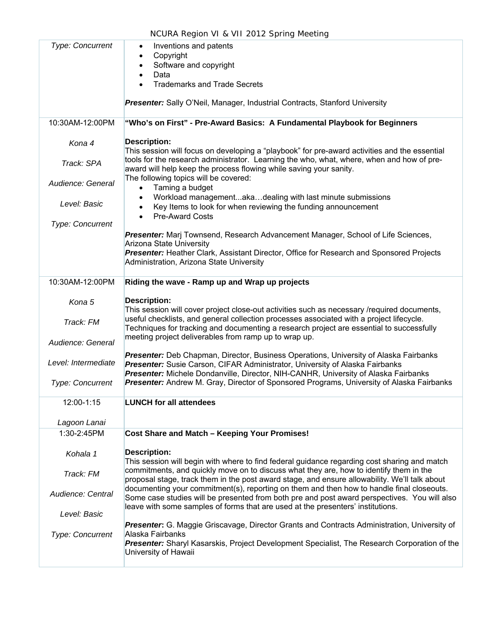| Type: Concurrent        | Inventions and patents<br>٠<br>Copyright<br>$\bullet$<br>Software and copyright<br>$\bullet$                                                                                                                                                                                 |
|-------------------------|------------------------------------------------------------------------------------------------------------------------------------------------------------------------------------------------------------------------------------------------------------------------------|
|                         | Data<br>$\bullet$<br><b>Trademarks and Trade Secrets</b><br>$\bullet$                                                                                                                                                                                                        |
|                         | <b>Presenter:</b> Sally O'Neil, Manager, Industrial Contracts, Stanford University                                                                                                                                                                                           |
| 10:30AM-12:00PM         | "Who's on First" - Pre-Award Basics: A Fundamental Playbook for Beginners                                                                                                                                                                                                    |
| Kona 4                  | <b>Description:</b><br>This session will focus on developing a "playbook" for pre-award activities and the essential                                                                                                                                                         |
| Track: SPA              | tools for the research administrator. Learning the who, what, where, when and how of pre-<br>award will help keep the process flowing while saving your sanity.                                                                                                              |
| Audience: General       | The following topics will be covered:<br>Taming a budget<br>$\bullet$                                                                                                                                                                                                        |
| Level: Basic            | Workload managementakadealing with last minute submissions<br>$\bullet$<br>Key Items to look for when reviewing the funding announcement<br>$\bullet$<br><b>Pre-Award Costs</b><br>$\bullet$                                                                                 |
| Type: Concurrent        |                                                                                                                                                                                                                                                                              |
|                         | Presenter: Marj Townsend, Research Advancement Manager, School of Life Sciences,<br><b>Arizona State University</b>                                                                                                                                                          |
|                         | Presenter: Heather Clark, Assistant Director, Office for Research and Sponsored Projects<br>Administration, Arizona State University                                                                                                                                         |
| 10:30AM-12:00PM         | Riding the wave - Ramp up and Wrap up projects                                                                                                                                                                                                                               |
| Kona 5                  | <b>Description:</b><br>This session will cover project close-out activities such as necessary /required documents,                                                                                                                                                           |
| Track: FM               | useful checklists, and general collection processes associated with a project lifecycle.<br>Techniques for tracking and documenting a research project are essential to successfully                                                                                         |
| Audience: General       | meeting project deliverables from ramp up to wrap up.                                                                                                                                                                                                                        |
| Level: Intermediate     | Presenter: Deb Chapman, Director, Business Operations, University of Alaska Fairbanks<br>Presenter: Susie Carson, CIFAR Administrator, University of Alaska Fairbanks<br>Presenter: Michele Dondanville, Director, NIH-CANHR, University of Alaska Fairbanks                 |
| Type: Concurrent        | Presenter: Andrew M. Gray, Director of Sponsored Programs, University of Alaska Fairbanks                                                                                                                                                                                    |
| 12:00-1:15              | <b>LUNCH for all attendees</b>                                                                                                                                                                                                                                               |
| Lagoon Lanai            |                                                                                                                                                                                                                                                                              |
| 1:30-2:45PM             | Cost Share and Match - Keeping Your Promises!                                                                                                                                                                                                                                |
| Kohala 1                | <b>Description:</b><br>This session will begin with where to find federal guidance regarding cost sharing and match                                                                                                                                                          |
| Track: FM               | commitments, and quickly move on to discuss what they are, how to identify them in the<br>proposal stage, track them in the post award stage, and ensure allowability. We'll talk about                                                                                      |
| Audience: Central       | documenting your commitment(s), reporting on them and then how to handle final closeouts.<br>Some case studies will be presented from both pre and post award perspectives. You will also<br>leave with some samples of forms that are used at the presenters' institutions. |
| Level: Basic            | Presenter: G. Maggie Griscavage, Director Grants and Contracts Administration, University of                                                                                                                                                                                 |
| <b>Type: Concurrent</b> | Alaska Fairbanks<br>Presenter: Sharyl Kasarskis, Project Development Specialist, The Research Corporation of the<br>University of Hawaii                                                                                                                                     |
|                         |                                                                                                                                                                                                                                                                              |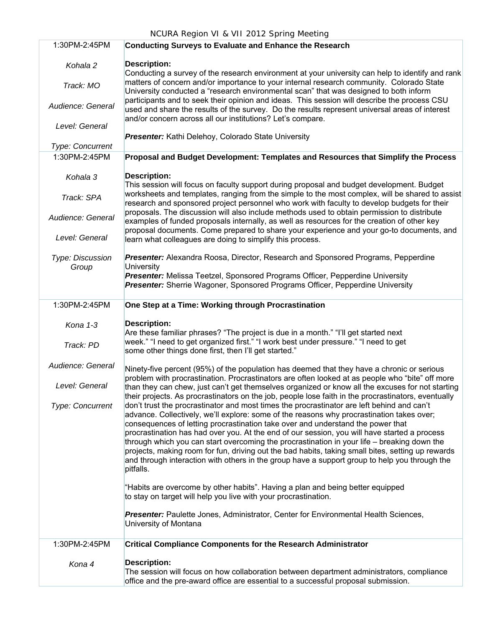| 1:30PM-2:45PM             | <b>Conducting Surveys to Evaluate and Enhance the Research</b>                                                                                                                                                                                                                                                                                                                                                                                                                                                                                                                                                                                                                               |
|---------------------------|----------------------------------------------------------------------------------------------------------------------------------------------------------------------------------------------------------------------------------------------------------------------------------------------------------------------------------------------------------------------------------------------------------------------------------------------------------------------------------------------------------------------------------------------------------------------------------------------------------------------------------------------------------------------------------------------|
| Kohala 2                  | <b>Description:</b><br>Conducting a survey of the research environment at your university can help to identify and rank                                                                                                                                                                                                                                                                                                                                                                                                                                                                                                                                                                      |
| Track: MO                 | matters of concern and/or importance to your internal research community. Colorado State<br>University conducted a "research environmental scan" that was designed to both inform                                                                                                                                                                                                                                                                                                                                                                                                                                                                                                            |
| Audience: General         | participants and to seek their opinion and ideas. This session will describe the process CSU<br>used and share the results of the survey. Do the results represent universal areas of interest<br>and/or concern across all our institutions? Let's compare.                                                                                                                                                                                                                                                                                                                                                                                                                                 |
| Level: General            | Presenter: Kathi Delehoy, Colorado State University                                                                                                                                                                                                                                                                                                                                                                                                                                                                                                                                                                                                                                          |
| Type: Concurrent          |                                                                                                                                                                                                                                                                                                                                                                                                                                                                                                                                                                                                                                                                                              |
| 1:30PM-2:45PM             | Proposal and Budget Development: Templates and Resources that Simplify the Process                                                                                                                                                                                                                                                                                                                                                                                                                                                                                                                                                                                                           |
| Kohala 3                  | <b>Description:</b><br>This session will focus on faculty support during proposal and budget development. Budget                                                                                                                                                                                                                                                                                                                                                                                                                                                                                                                                                                             |
| Track: SPA                | worksheets and templates, ranging from the simple to the most complex, will be shared to assist<br>research and sponsored project personnel who work with faculty to develop budgets for their                                                                                                                                                                                                                                                                                                                                                                                                                                                                                               |
| Audience: General         | proposals. The discussion will also include methods used to obtain permission to distribute<br>examples of funded proposals internally, as well as resources for the creation of other key<br>proposal documents. Come prepared to share your experience and your go-to documents, and                                                                                                                                                                                                                                                                                                                                                                                                       |
| Level: General            | learn what colleagues are doing to simplify this process.                                                                                                                                                                                                                                                                                                                                                                                                                                                                                                                                                                                                                                    |
| Type: Discussion<br>Group | Presenter: Alexandra Roosa, Director, Research and Sponsored Programs, Pepperdine<br><b>University</b>                                                                                                                                                                                                                                                                                                                                                                                                                                                                                                                                                                                       |
|                           | Presenter: Melissa Teetzel, Sponsored Programs Officer, Pepperdine University<br>Presenter: Sherrie Wagoner, Sponsored Programs Officer, Pepperdine University                                                                                                                                                                                                                                                                                                                                                                                                                                                                                                                               |
| 1:30PM-2:45PM             | One Step at a Time: Working through Procrastination                                                                                                                                                                                                                                                                                                                                                                                                                                                                                                                                                                                                                                          |
| Kona 1-3                  | <b>Description:</b><br>Are these familiar phrases? "The project is due in a month." "I'll get started next                                                                                                                                                                                                                                                                                                                                                                                                                                                                                                                                                                                   |
| Track: PD                 | week." "I need to get organized first." "I work best under pressure." "I need to get<br>some other things done first, then I'll get started."                                                                                                                                                                                                                                                                                                                                                                                                                                                                                                                                                |
| Audience: General         | Ninety-five percent (95%) of the population has deemed that they have a chronic or serious<br>problem with procrastination. Procrastinators are often looked at as people who "bite" off more                                                                                                                                                                                                                                                                                                                                                                                                                                                                                                |
| Level: General            | than they can chew, just can't get themselves organized or know all the excuses for not starting<br>their projects. As procrastinators on the job, people lose faith in the procrastinators, eventually                                                                                                                                                                                                                                                                                                                                                                                                                                                                                      |
| <b>Type: Concurrent</b>   | don't trust the procrastinator and most times the procrastinator are left behind and can't<br>advance. Collectively, we'll explore: some of the reasons why procrastination takes over;<br>consequences of letting procrastination take over and understand the power that<br>procrastination has had over you. At the end of our session, you will have started a process<br>through which you can start overcoming the procrastination in your life - breaking down the<br>projects, making room for fun, driving out the bad habits, taking small bites, setting up rewards<br>and through interaction with others in the group have a support group to help you through the<br>pitfalls. |
|                           | "Habits are overcome by other habits". Having a plan and being better equipped<br>to stay on target will help you live with your procrastination.                                                                                                                                                                                                                                                                                                                                                                                                                                                                                                                                            |
|                           | Presenter: Paulette Jones, Administrator, Center for Environmental Health Sciences,<br>University of Montana                                                                                                                                                                                                                                                                                                                                                                                                                                                                                                                                                                                 |
| 1:30PM-2:45PM             | <b>Critical Compliance Components for the Research Administrator</b>                                                                                                                                                                                                                                                                                                                                                                                                                                                                                                                                                                                                                         |
| Kona 4                    | <b>Description:</b><br>The session will focus on how collaboration between department administrators, compliance<br>office and the pre-award office are essential to a successful proposal submission.                                                                                                                                                                                                                                                                                                                                                                                                                                                                                       |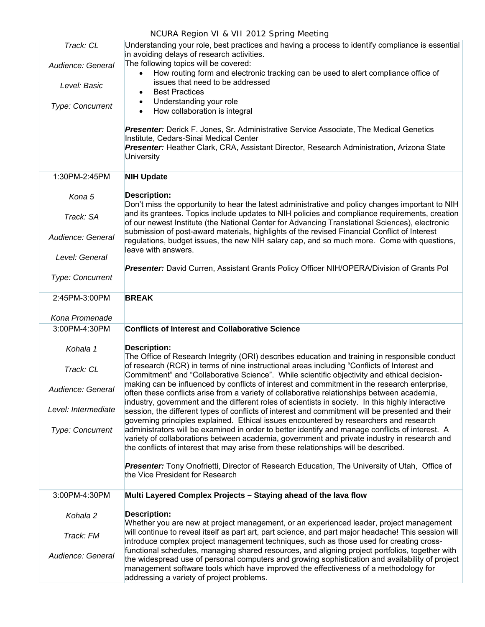| Track: CL               | Understanding your role, best practices and having a process to identify compliance is essential<br>in avoiding delays of research activities.                                                                                                                                                                                          |
|-------------------------|-----------------------------------------------------------------------------------------------------------------------------------------------------------------------------------------------------------------------------------------------------------------------------------------------------------------------------------------|
| Audience: General       | The following topics will be covered:<br>How routing form and electronic tracking can be used to alert compliance office of<br>issues that need to be addressed                                                                                                                                                                         |
| Level: Basic            | <b>Best Practices</b>                                                                                                                                                                                                                                                                                                                   |
| <b>Type: Concurrent</b> | Understanding your role<br>٠<br>How collaboration is integral<br>$\bullet$                                                                                                                                                                                                                                                              |
|                         | Presenter: Derick F. Jones, Sr. Administrative Service Associate, The Medical Genetics<br>Institute, Cedars-Sinai Medical Center                                                                                                                                                                                                        |
|                         | Presenter: Heather Clark, CRA, Assistant Director, Research Administration, Arizona State<br><b>University</b>                                                                                                                                                                                                                          |
| 1:30PM-2:45PM           | <b>NIH Update</b>                                                                                                                                                                                                                                                                                                                       |
| Kona 5                  | <b>Description:</b><br>Don't miss the opportunity to hear the latest administrative and policy changes important to NIH                                                                                                                                                                                                                 |
| Track: SA               | and its grantees. Topics include updates to NIH policies and compliance requirements, creation<br>of our newest Institute (the National Center for Advancing Translational Sciences), electronic                                                                                                                                        |
| Audience: General       | submission of post-award materials, highlights of the revised Financial Conflict of Interest<br>regulations, budget issues, the new NIH salary cap, and so much more. Come with questions,<br>leave with answers.                                                                                                                       |
| Level: General          |                                                                                                                                                                                                                                                                                                                                         |
| Type: Concurrent        | Presenter: David Curren, Assistant Grants Policy Officer NIH/OPERA/Division of Grants Pol                                                                                                                                                                                                                                               |
| 2:45PM-3:00PM           | <b>BREAK</b>                                                                                                                                                                                                                                                                                                                            |
| Kona Promenade          |                                                                                                                                                                                                                                                                                                                                         |
| 3:00PM-4:30PM           | <b>Conflicts of Interest and Collaborative Science</b>                                                                                                                                                                                                                                                                                  |
| Kohala 1                | <b>Description:</b><br>The Office of Research Integrity (ORI) describes education and training in responsible conduct                                                                                                                                                                                                                   |
| Track: CL               | of research (RCR) in terms of nine instructional areas including "Conflicts of Interest and<br>Commitment" and "Collaborative Science". While scientific objectivity and ethical decision-                                                                                                                                              |
| Audience: General       | making can be influenced by conflicts of interest and commitment in the research enterprise,<br>often these conflicts arise from a variety of collaborative relationships between academia                                                                                                                                              |
| Level: Intermediate     | industry, government and the different roles of scientists in society. In this highly interactive<br>session, the different types of conflicts of interest and commitment will be presented and their<br>governing principles explained. Ethical issues encountered by researchers and research                                         |
| Type: Concurrent        | administrators will be examined in order to better identify and manage conflicts of interest. A<br>variety of collaborations between academia, government and private industry in research and<br>the conflicts of interest that may arise from these relationships will be described.                                                  |
|                         | Presenter: Tony Onofrietti, Director of Research Education, The University of Utah, Office of<br>the Vice President for Research                                                                                                                                                                                                        |
|                         |                                                                                                                                                                                                                                                                                                                                         |
| 3:00PM-4:30PM           | Multi Layered Complex Projects - Staying ahead of the lava flow                                                                                                                                                                                                                                                                         |
| Kohala 2                | <b>Description:</b><br>Whether you are new at project management, or an experienced leader, project management                                                                                                                                                                                                                          |
| Track: FM               | will continue to reveal itself as part art, part science, and part major headache! This session will<br>introduce complex project management techniques, such as those used for creating cross-                                                                                                                                         |
| Audience: General       | functional schedules, managing shared resources, and aligning project portfolios, together with<br>the widespread use of personal computers and growing sophistication and availability of project<br>management software tools which have improved the effectiveness of a methodology for<br>addressing a variety of project problems. |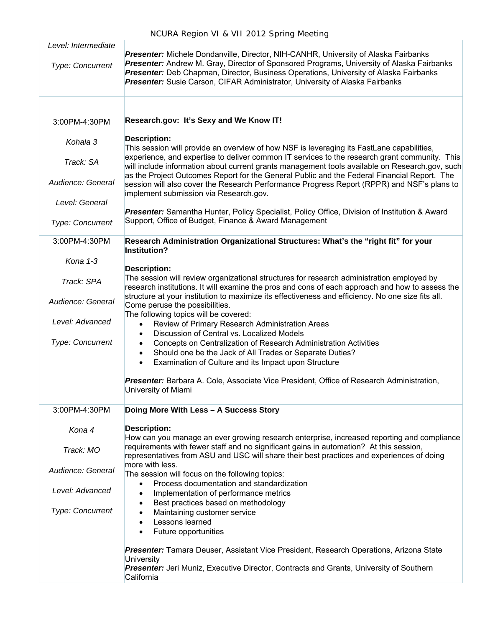| Level: Intermediate<br>Type: Concurrent | Presenter: Michele Dondanville, Director, NIH-CANHR, University of Alaska Fairbanks<br>Presenter: Andrew M. Gray, Director of Sponsored Programs, University of Alaska Fairbanks<br>Presenter: Deb Chapman, Director, Business Operations, University of Alaska Fairbanks<br>Presenter: Susie Carson, CIFAR Administrator, University of Alaska Fairbanks |
|-----------------------------------------|-----------------------------------------------------------------------------------------------------------------------------------------------------------------------------------------------------------------------------------------------------------------------------------------------------------------------------------------------------------|
| 3:00PM-4:30PM                           | Research.gov: It's Sexy and We Know IT!                                                                                                                                                                                                                                                                                                                   |
| Kohala 3                                | <b>Description:</b><br>This session will provide an overview of how NSF is leveraging its FastLane capabilities,                                                                                                                                                                                                                                          |
| Track: SA                               | experience, and expertise to deliver common IT services to the research grant community. This<br>will include information about current grants management tools available on Research.gov, such<br>as the Project Outcomes Report for the General Public and the Federal Financial Report. The                                                            |
| Audience: General                       | session will also cover the Research Performance Progress Report (RPPR) and NSF's plans to<br>implement submission via Research.gov.                                                                                                                                                                                                                      |
| Level: General                          | Presenter: Samantha Hunter, Policy Specialist, Policy Office, Division of Institution & Award                                                                                                                                                                                                                                                             |
| Type: Concurrent                        | Support, Office of Budget, Finance & Award Management                                                                                                                                                                                                                                                                                                     |
| 3:00PM-4:30PM                           | Research Administration Organizational Structures: What's the "right fit" for your<br>Institution?                                                                                                                                                                                                                                                        |
| Kona 1-3                                | <b>Description:</b>                                                                                                                                                                                                                                                                                                                                       |
| Track: SPA                              | The session will review organizational structures for research administration employed by<br>research institutions. It will examine the pros and cons of each approach and how to assess the                                                                                                                                                              |
| Audience: General                       | structure at your institution to maximize its effectiveness and efficiency. No one size fits all.<br>Come peruse the possibilities.<br>The following topics will be covered:                                                                                                                                                                              |
| Level: Advanced                         | Review of Primary Research Administration Areas<br>$\bullet$                                                                                                                                                                                                                                                                                              |
| <b>Type: Concurrent</b>                 | Discussion of Central vs. Localized Models<br>$\bullet$<br>Concepts on Centralization of Research Administration Activities<br>$\bullet$<br>Should one be the Jack of All Trades or Separate Duties?<br>$\bullet$<br>Examination of Culture and its Impact upon Structure<br>$\bullet$                                                                    |
|                                         | Presenter: Barbara A. Cole, Associate Vice President, Office of Research Administration,<br>University of Miami                                                                                                                                                                                                                                           |
| 3:00PM-4:30PM                           | Doing More With Less - A Success Story                                                                                                                                                                                                                                                                                                                    |
| Kona 4                                  | <b>Description:</b><br>How can you manage an ever growing research enterprise, increased reporting and compliance                                                                                                                                                                                                                                         |
| Track: MO                               | requirements with fewer staff and no significant gains in automation? At this session,<br>representatives from ASU and USC will share their best practices and experiences of doing                                                                                                                                                                       |
| Audience: General                       | more with less.<br>The session will focus on the following topics:                                                                                                                                                                                                                                                                                        |
| Level: Advanced                         | Process documentation and standardization<br>$\bullet$<br>Implementation of performance metrics<br>$\bullet$                                                                                                                                                                                                                                              |
| <b>Type: Concurrent</b>                 | Best practices based on methodology<br>٠<br>Maintaining customer service<br>٠<br>Lessons learned<br>$\bullet$<br>Future opportunities<br>$\bullet$                                                                                                                                                                                                        |
|                                         | Presenter: Tamara Deuser, Assistant Vice President, Research Operations, Arizona State                                                                                                                                                                                                                                                                    |
|                                         | University<br>Presenter: Jeri Muniz, Executive Director, Contracts and Grants, University of Southern<br>California                                                                                                                                                                                                                                       |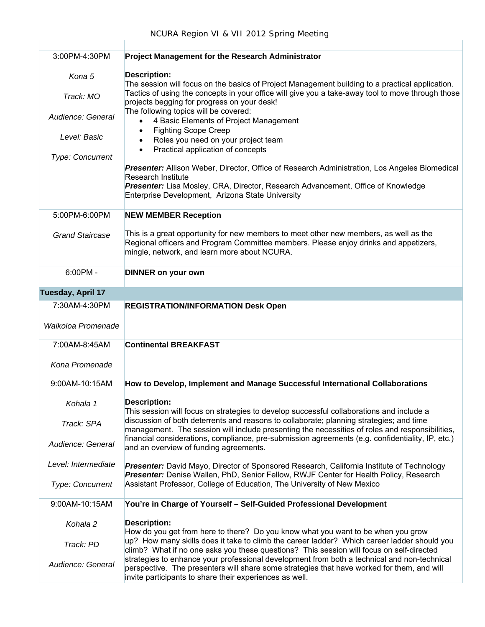| 3:00PM-4:30PM           | <b>Project Management for the Research Administrator</b>                                                                                                                                                                                                           |
|-------------------------|--------------------------------------------------------------------------------------------------------------------------------------------------------------------------------------------------------------------------------------------------------------------|
| Kona 5                  | <b>Description:</b>                                                                                                                                                                                                                                                |
| Track: MO               | The session will focus on the basics of Project Management building to a practical application.<br>Tactics of using the concepts in your office will give you a take-away tool to move through those<br>projects begging for progress on your desk!                |
| Audience: General       | The following topics will be covered:<br>4 Basic Elements of Project Management                                                                                                                                                                                    |
| Level: Basic            | <b>Fighting Scope Creep</b><br>Roles you need on your project team                                                                                                                                                                                                 |
| <b>Type: Concurrent</b> | Practical application of concepts                                                                                                                                                                                                                                  |
|                         | Presenter: Allison Weber, Director, Office of Research Administration, Los Angeles Biomedical<br><b>Research Institute</b><br>Presenter: Lisa Mosley, CRA, Director, Research Advancement, Office of Knowledge<br>Enterprise Development, Arizona State University |
| 5:00PM-6:00PM           | <b>NEW MEMBER Reception</b>                                                                                                                                                                                                                                        |
| <b>Grand Staircase</b>  | This is a great opportunity for new members to meet other new members, as well as the<br>Regional officers and Program Committee members. Please enjoy drinks and appetizers,<br>mingle, network, and learn more about NCURA.                                      |
| $6:00PM -$              | <b>DINNER on your own</b>                                                                                                                                                                                                                                          |
| Tuesday, April 17       |                                                                                                                                                                                                                                                                    |
| 7:30AM-4:30PM           | <b>REGISTRATION/INFORMATION Desk Open</b>                                                                                                                                                                                                                          |
| Waikoloa Promenade      |                                                                                                                                                                                                                                                                    |
| 7:00AM-8:45AM           | <b>Continental BREAKFAST</b>                                                                                                                                                                                                                                       |
| Kona Promenade          |                                                                                                                                                                                                                                                                    |
| 9:00AM-10:15AM          | How to Develop, Implement and Manage Successful International Collaborations                                                                                                                                                                                       |
| Kohala 1                | <b>Description:</b><br>This session will focus on strategies to develop successful collaborations and include a                                                                                                                                                    |
| Track: SPA              | discussion of both deterrents and reasons to collaborate; planning strategies; and time<br>management. The session will include presenting the necessities of roles and responsibilities,                                                                          |
| Audience: General       | financial considerations, compliance, pre-submission agreements (e.g. confidentiality, IP, etc.)<br>and an overview of funding agreements.                                                                                                                         |
| Level: Intermediate     | Presenter: David Mayo, Director of Sponsored Research, California Institute of Technology<br>Presenter: Denise Wallen, PhD, Senior Fellow, RWJF Center for Health Policy, Research                                                                                 |
| Type: Concurrent        | Assistant Professor, College of Education, The University of New Mexico                                                                                                                                                                                            |
| 9:00AM-10:15AM          | You're in Charge of Yourself - Self-Guided Professional Development                                                                                                                                                                                                |
| Kohala 2                | <b>Description:</b><br>How do you get from here to there? Do you know what you want to be when you grow                                                                                                                                                            |
| Track: PD               | up? How many skills does it take to climb the career ladder? Which career ladder should you<br>climb? What if no one asks you these questions? This session will focus on self-directed                                                                            |
| Audience: General       | strategies to enhance your professional development from both a technical and non-technical<br>perspective. The presenters will share some strategies that have worked for them, and will<br>invite participants to share their experiences as well.               |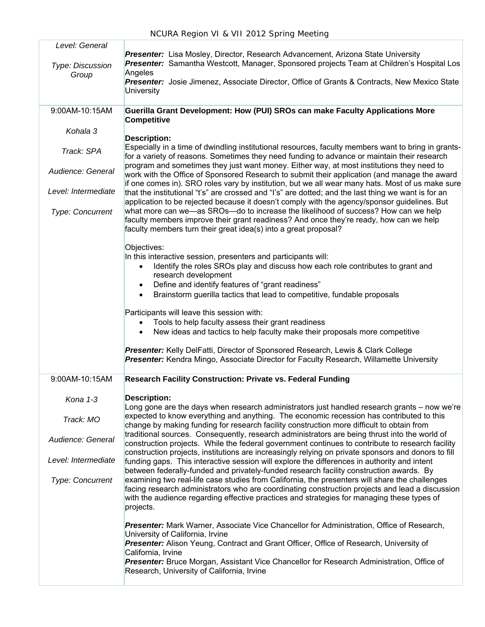ł.

| Level: General            |                                                                                                                                                                                                                                                                                                                        |
|---------------------------|------------------------------------------------------------------------------------------------------------------------------------------------------------------------------------------------------------------------------------------------------------------------------------------------------------------------|
| Type: Discussion<br>Group | Presenter: Lisa Mosley, Director, Research Advancement, Arizona State University<br>Presenter: Samantha Westcott, Manager, Sponsored projects Team at Children's Hospital Los<br>Angeles                                                                                                                               |
|                           | Presenter: Josie Jimenez, Associate Director, Office of Grants & Contracts, New Mexico State<br>University                                                                                                                                                                                                             |
| 9:00AM-10:15AM            | Guerilla Grant Development: How (PUI) SROs can make Faculty Applications More<br><b>Competitive</b>                                                                                                                                                                                                                    |
| Kohala 3                  |                                                                                                                                                                                                                                                                                                                        |
| Track: SPA                | <b>Description:</b><br>Especially in a time of dwindling institutional resources, faculty members want to bring in grants-<br>for a variety of reasons. Sometimes they need funding to advance or maintain their research<br>program and sometimes they just want money. Either way, at most institutions they need to |
| Audience: General         | work with the Office of Sponsored Research to submit their application (and manage the award                                                                                                                                                                                                                           |
| Level: Intermediate       | if one comes in). SRO roles vary by institution, but we all wear many hats. Most of us make sure<br>that the institutional "t's" are crossed and "I's" are dotted; and the last thing we want is for an<br>application to be rejected because it doesn't comply with the agency/sponsor guidelines. But                |
| Type: Concurrent          | what more can we—as SROs—do to increase the likelihood of success? How can we help<br>faculty members improve their grant readiness? And once they're ready, how can we help<br>faculty members turn their great idea(s) into a great proposal?                                                                        |
|                           | Objectives:<br>In this interactive session, presenters and participants will:                                                                                                                                                                                                                                          |
|                           | Identify the roles SROs play and discuss how each role contributes to grant and<br>research development                                                                                                                                                                                                                |
|                           | Define and identify features of "grant readiness"                                                                                                                                                                                                                                                                      |
|                           | Brainstorm guerilla tactics that lead to competitive, fundable proposals                                                                                                                                                                                                                                               |
|                           | Participants will leave this session with:                                                                                                                                                                                                                                                                             |
|                           | Tools to help faculty assess their grant readiness                                                                                                                                                                                                                                                                     |
|                           | New ideas and tactics to help faculty make their proposals more competitive<br>$\bullet$                                                                                                                                                                                                                               |
|                           | Presenter: Kelly DelFatti, Director of Sponsored Research, Lewis & Clark College<br>Presenter: Kendra Mingo, Associate Director for Faculty Research, Willamette University                                                                                                                                            |
| 9:00AM-10:15AM            | <b>Research Facility Construction: Private vs. Federal Funding</b>                                                                                                                                                                                                                                                     |
| Kona 1-3                  | <b>Description:</b><br>Long gone are the days when research administrators just handled research grants - now we're                                                                                                                                                                                                    |
| Track: MO                 | expected to know everything and anything. The economic recession has contributed to this<br>change by making funding for research facility construction more difficult to obtain from<br>traditional sources. Consequently, research administrators are being thrust into the world of                                 |
| Audience: General         | construction projects. While the federal government continues to contribute to research facility<br>construction projects, institutions are increasingly relying on private sponsors and donors to fill                                                                                                                |
| Level: Intermediate       | funding gaps. This interactive session will explore the differences in authority and intent<br>between federally-funded and privately-funded research facility construction awards. By                                                                                                                                 |
| Type: Concurrent          | examining two real-life case studies from California, the presenters will share the challenges<br>facing research administrators who are coordinating construction projects and lead a discussion<br>with the audience regarding effective practices and strategies for managing these types of                        |
|                           | projects.                                                                                                                                                                                                                                                                                                              |
|                           | Presenter: Mark Warner, Associate Vice Chancellor for Administration, Office of Research,<br>University of California, Irvine                                                                                                                                                                                          |
|                           | Presenter: Alison Yeung, Contract and Grant Officer, Office of Research, University of<br>California, Irvine                                                                                                                                                                                                           |
|                           | <b>Presenter:</b> Bruce Morgan, Assistant Vice Chancellor for Research Administration, Office of<br>Research, University of California, Irvine                                                                                                                                                                         |
|                           |                                                                                                                                                                                                                                                                                                                        |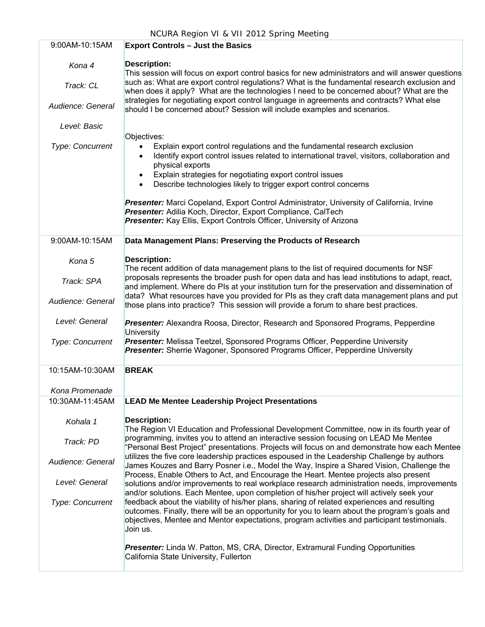| 9:00AM-10:15AM                           | <b>Export Controls - Just the Basics</b>                                                                                                                                                                                                                                                                                                                                                                                                                                                       |
|------------------------------------------|------------------------------------------------------------------------------------------------------------------------------------------------------------------------------------------------------------------------------------------------------------------------------------------------------------------------------------------------------------------------------------------------------------------------------------------------------------------------------------------------|
| Kona 4<br>Track: CL<br>Audience: General | <b>Description:</b><br>This session will focus on export control basics for new administrators and will answer questions<br>such as: What are export control regulations? What is the fundamental research exclusion and<br>when does it apply? What are the technologies I need to be concerned about? What are the<br>strategies for negotiating export control language in agreements and contracts? What else<br>should I be concerned about? Session will include examples and scenarios. |
| Level: Basic                             |                                                                                                                                                                                                                                                                                                                                                                                                                                                                                                |
| Type: Concurrent                         | Objectives:<br>Explain export control regulations and the fundamental research exclusion<br>$\bullet$<br>Identify export control issues related to international travel, visitors, collaboration and<br>$\bullet$<br>physical exports<br>Explain strategies for negotiating export control issues<br>$\bullet$<br>Describe technologies likely to trigger export control concerns<br>$\bullet$                                                                                                 |
|                                          | Presenter: Marci Copeland, Export Control Administrator, University of California, Irvine<br>Presenter: Adilia Koch, Director, Export Compliance, CalTech<br>Presenter: Kay Ellis, Export Controls Officer, University of Arizona                                                                                                                                                                                                                                                              |
| 9:00AM-10:15AM                           | Data Management Plans: Preserving the Products of Research                                                                                                                                                                                                                                                                                                                                                                                                                                     |
| Kona 5                                   | <b>Description:</b><br>The recent addition of data management plans to the list of required documents for NSF                                                                                                                                                                                                                                                                                                                                                                                  |
| Track: SPA                               | proposals represents the broader push for open data and has lead institutions to adapt, react,<br>and implement. Where do PIs at your institution turn for the preservation and dissemination of                                                                                                                                                                                                                                                                                               |
| Audience: General                        | data? What resources have you provided for PIs as they craft data management plans and put<br>those plans into practice? This session will provide a forum to share best practices.                                                                                                                                                                                                                                                                                                            |
| Level: General                           | Presenter: Alexandra Roosa, Director, Research and Sponsored Programs, Pepperdine<br>University                                                                                                                                                                                                                                                                                                                                                                                                |
| Type: Concurrent                         | Presenter: Melissa Teetzel, Sponsored Programs Officer, Pepperdine University<br>Presenter: Sherrie Wagoner, Sponsored Programs Officer, Pepperdine University                                                                                                                                                                                                                                                                                                                                 |
| 10:15AM-10:30AM                          | <b>BREAK</b>                                                                                                                                                                                                                                                                                                                                                                                                                                                                                   |
| Kona Promenade                           |                                                                                                                                                                                                                                                                                                                                                                                                                                                                                                |
| 10:30AM-11:45AM                          | <b>LEAD Me Mentee Leadership Project Presentations</b>                                                                                                                                                                                                                                                                                                                                                                                                                                         |
| Kohala 1                                 | <b>Description:</b><br>The Region VI Education and Professional Development Committee, now in its fourth year of                                                                                                                                                                                                                                                                                                                                                                               |
| Track: PD                                | programming, invites you to attend an interactive session focusing on LEAD Me Mentee<br>"Personal Best Project" presentations. Projects will focus on and demonstrate how each Mentee                                                                                                                                                                                                                                                                                                          |
| Audience: General                        | utilizes the five core leadership practices espoused in the Leadership Challenge by authors<br>James Kouzes and Barry Posner i.e., Model the Way, Inspire a Shared Vision, Challenge the<br>Process, Enable Others to Act, and Encourage the Heart. Mentee projects also present                                                                                                                                                                                                               |
| Level: General                           | solutions and/or improvements to real workplace research administration needs, improvements<br>and/or solutions. Each Mentee, upon completion of his/her project will actively seek your                                                                                                                                                                                                                                                                                                       |
| <b>Type: Concurrent</b>                  | feedback about the viability of his/her plans, sharing of related experiences and resulting<br>outcomes. Finally, there will be an opportunity for you to learn about the program's goals and<br>objectives, Mentee and Mentor expectations, program activities and participant testimonials.<br>Join us.                                                                                                                                                                                      |
|                                          | Presenter: Linda W. Patton, MS, CRA, Director, Extramural Funding Opportunities<br>California State University, Fullerton                                                                                                                                                                                                                                                                                                                                                                      |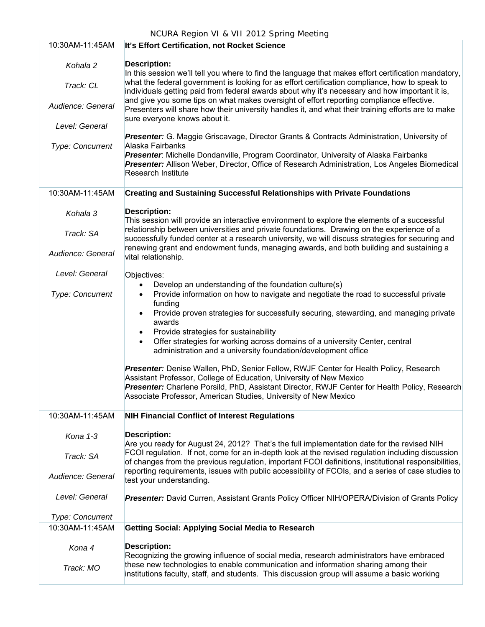| 10:30AM-11:45AM                            | It's Effort Certification, not Rocket Science                                                                                                                                                                                                                                                                                               |  |
|--------------------------------------------|---------------------------------------------------------------------------------------------------------------------------------------------------------------------------------------------------------------------------------------------------------------------------------------------------------------------------------------------|--|
| Kohala 2<br>Track: CL                      | <b>Description:</b><br>In this session we'll tell you where to find the language that makes effort certification mandatory,<br>what the federal government is looking for as effort certification compliance, how to speak to                                                                                                               |  |
| Audience: General                          | individuals getting paid from federal awards about why it's necessary and how important it is,<br>and give you some tips on what makes oversight of effort reporting compliance effective.<br>Presenters will share how their university handles it, and what their training efforts are to make<br>sure everyone knows about it.           |  |
| Level: General                             |                                                                                                                                                                                                                                                                                                                                             |  |
| Type: Concurrent                           | <b>Presenter:</b> G. Maggie Griscavage, Director Grants & Contracts Administration, University of<br>Alaska Fairbanks<br>Presenter: Michelle Dondanville, Program Coordinator, University of Alaska Fairbanks<br>Presenter: Allison Weber, Director, Office of Research Administration, Los Angeles Biomedical<br><b>Research Institute</b> |  |
| 10:30AM-11:45AM                            | <b>Creating and Sustaining Successful Relationships with Private Foundations</b>                                                                                                                                                                                                                                                            |  |
| Kohala 3                                   | <b>Description:</b><br>This session will provide an interactive environment to explore the elements of a successful                                                                                                                                                                                                                         |  |
| Track: SA                                  | relationship between universities and private foundations. Drawing on the experience of a<br>successfully funded center at a research university, we will discuss strategies for securing and                                                                                                                                               |  |
| Audience: General                          | renewing grant and endowment funds, managing awards, and both building and sustaining a<br>vital relationship.                                                                                                                                                                                                                              |  |
| Level: General                             | Objectives:<br>Develop an understanding of the foundation culture(s)                                                                                                                                                                                                                                                                        |  |
| <b>Type: Concurrent</b>                    | Provide information on how to navigate and negotiate the road to successful private<br>$\bullet$<br>funding<br>Provide proven strategies for successfully securing, stewarding, and managing private<br>awards                                                                                                                              |  |
|                                            | Provide strategies for sustainability<br>Offer strategies for working across domains of a university Center, central<br>$\bullet$<br>administration and a university foundation/development office                                                                                                                                          |  |
|                                            | Presenter: Denise Wallen, PhD, Senior Fellow, RWJF Center for Health Policy, Research<br>Assistant Professor, College of Education, University of New Mexico<br>Presenter: Charlene Porsild, PhD, Assistant Director, RWJF Center for Health Policy, Research<br>Associate Professor, American Studies, University of New Mexico            |  |
| 10:30AM-11:45AM                            | <b>NIH Financial Conflict of Interest Regulations</b>                                                                                                                                                                                                                                                                                       |  |
| Kona 1-3                                   | <b>Description:</b><br>Are you ready for August 24, 2012? That's the full implementation date for the revised NIH                                                                                                                                                                                                                           |  |
| Track: SA                                  | FCOI regulation. If not, come for an in-depth look at the revised regulation including discussion<br>of changes from the previous regulation, important FCOI definitions, institutional responsibilities,                                                                                                                                   |  |
| Audience: General                          | reporting requirements, issues with public accessibility of FCOIs, and a series of case studies to<br>test your understanding.                                                                                                                                                                                                              |  |
| Level: General                             | Presenter: David Curren, Assistant Grants Policy Officer NIH/OPERA/Division of Grants Policy                                                                                                                                                                                                                                                |  |
| <b>Type: Concurrent</b><br>10:30AM-11:45AM | <b>Getting Social: Applying Social Media to Research</b>                                                                                                                                                                                                                                                                                    |  |
|                                            |                                                                                                                                                                                                                                                                                                                                             |  |
| Kona 4                                     | <b>Description:</b><br>Recognizing the growing influence of social media, research administrators have embraced<br>these new technologies to enable communication and information sharing among their                                                                                                                                       |  |
| Track: MO                                  | institutions faculty, staff, and students. This discussion group will assume a basic working                                                                                                                                                                                                                                                |  |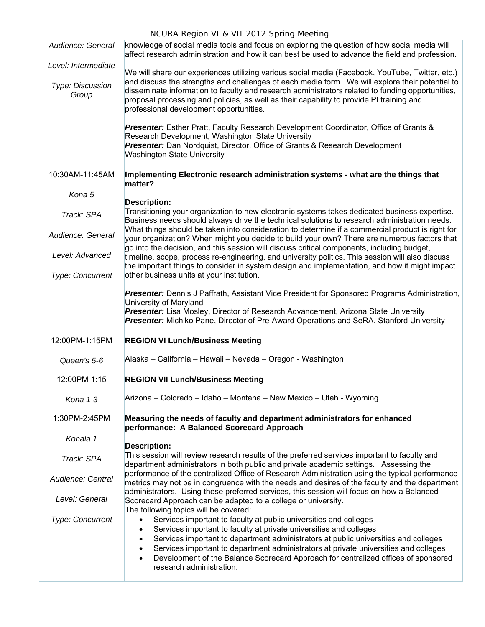| Audience: General         | knowledge of social media tools and focus on exploring the question of how social media will<br>affect research administration and how it can best be used to advance the field and profession.                                                                                                                                            |
|---------------------------|--------------------------------------------------------------------------------------------------------------------------------------------------------------------------------------------------------------------------------------------------------------------------------------------------------------------------------------------|
| Level: Intermediate       | We will share our experiences utilizing various social media (Facebook, YouTube, Twitter, etc.)                                                                                                                                                                                                                                            |
| Type: Discussion<br>Group | and discuss the strengths and challenges of each media form. We will explore their potential to<br>disseminate information to faculty and research administrators related to funding opportunities,<br>proposal processing and policies, as well as their capability to provide PI training and<br>professional development opportunities. |
|                           | Presenter: Esther Pratt, Faculty Research Development Coordinator, Office of Grants &<br>Research Development, Washington State University<br>Presenter: Dan Nordquist, Director, Office of Grants & Research Development                                                                                                                  |
|                           | Washington State University                                                                                                                                                                                                                                                                                                                |
| 10:30AM-11:45AM           | Implementing Electronic research administration systems - what are the things that<br>matter?                                                                                                                                                                                                                                              |
| Kona 5                    | <b>Description:</b>                                                                                                                                                                                                                                                                                                                        |
| Track: SPA                | Transitioning your organization to new electronic systems takes dedicated business expertise.<br>Business needs should always drive the technical solutions to research administration needs.                                                                                                                                              |
| Audience: General         | What things should be taken into consideration to determine if a commercial product is right for<br>your organization? When might you decide to build your own? There are numerous factors that                                                                                                                                            |
| Level: Advanced           | go into the decision, and this session will discuss critical components, including budget,<br>timeline, scope, process re-engineering, and university politics. This session will also discuss<br>the important things to consider in system design and implementation, and how it might impact                                            |
| Type: Concurrent          | other business units at your institution.                                                                                                                                                                                                                                                                                                  |
|                           | Presenter: Dennis J Paffrath, Assistant Vice President for Sponsored Programs Administration,<br>University of Maryland                                                                                                                                                                                                                    |
|                           | Presenter: Lisa Mosley, Director of Research Advancement, Arizona State University<br>Presenter: Michiko Pane, Director of Pre-Award Operations and SeRA, Stanford University                                                                                                                                                              |
| 12:00PM-1:15PM            | <b>REGION VI Lunch/Business Meeting</b>                                                                                                                                                                                                                                                                                                    |
| Queen's 5-6               | Alaska – California – Hawaii – Nevada – Oregon - Washington                                                                                                                                                                                                                                                                                |
| 12:00PM-1:15              | <b>REGION VII Lunch/Business Meeting</b>                                                                                                                                                                                                                                                                                                   |
| Kona 1-3                  | Arizona – Colorado – Idaho – Montana – New Mexico – Utah - Wyoming                                                                                                                                                                                                                                                                         |
| 1:30PM-2:45PM             | Measuring the needs of faculty and department administrators for enhanced<br>performance: A Balanced Scorecard Approach                                                                                                                                                                                                                    |
| Kohala 1                  | <b>Description:</b>                                                                                                                                                                                                                                                                                                                        |
| Track: SPA                | This session will review research results of the preferred services important to faculty and<br>department administrators in both public and private academic settings. Assessing the                                                                                                                                                      |
| Audience: Central         | performance of the centralized Office of Research Administration using the typical performance<br>metrics may not be in congruence with the needs and desires of the faculty and the department<br>administrators. Using these preferred services, this session will focus on how a Balanced                                               |
| Level: General            | Scorecard Approach can be adapted to a college or university.<br>The following topics will be covered:                                                                                                                                                                                                                                     |
| Type: Concurrent          | Services important to faculty at public universities and colleges<br>$\bullet$<br>Services important to faculty at private universities and colleges<br>$\bullet$                                                                                                                                                                          |
|                           | Services important to department administrators at public universities and colleges<br>$\bullet$                                                                                                                                                                                                                                           |
|                           | Services important to department administrators at private universities and colleges<br>$\bullet$<br>Development of the Balance Scorecard Approach for centralized offices of sponsored<br>$\bullet$<br>research administration.                                                                                                           |
|                           |                                                                                                                                                                                                                                                                                                                                            |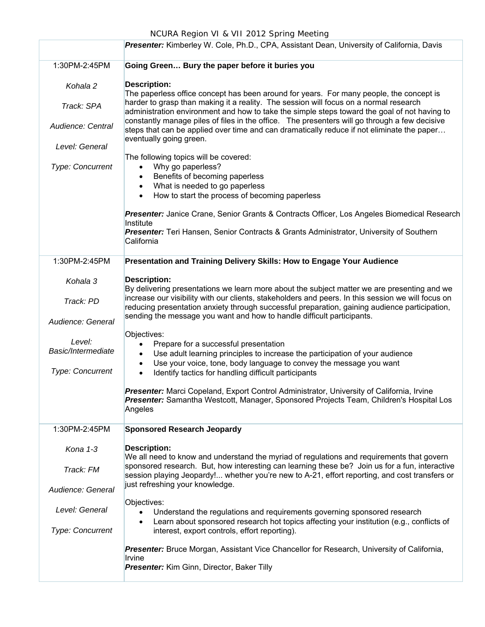| NCURA Region VI & VII 2012 Spring Meeting                                                 |                                                                                                                                                                                                                        |  |  |
|-------------------------------------------------------------------------------------------|------------------------------------------------------------------------------------------------------------------------------------------------------------------------------------------------------------------------|--|--|
| Presenter: Kimberley W. Cole, Ph.D., CPA, Assistant Dean, University of California, Davis |                                                                                                                                                                                                                        |  |  |
| 1:30PM-2:45PM                                                                             | Going Green Bury the paper before it buries you                                                                                                                                                                        |  |  |
| Kohala 2                                                                                  | <b>Description:</b><br>The paperless office concept has been around for years. For many people, the concept is                                                                                                         |  |  |
| Track: SPA                                                                                | harder to grasp than making it a reality. The session will focus on a normal research<br>administration environment and how to take the simple steps toward the goal of not having to                                  |  |  |
| Audience: Central                                                                         | constantly manage piles of files in the office. The presenters will go through a few decisive<br>steps that can be applied over time and can dramatically reduce if not eliminate the paper<br>eventually going green. |  |  |
| Level: General                                                                            |                                                                                                                                                                                                                        |  |  |
| Type: Concurrent                                                                          | The following topics will be covered:<br>Why go paperless?<br>$\bullet$                                                                                                                                                |  |  |
|                                                                                           | Benefits of becoming paperless<br>$\bullet$                                                                                                                                                                            |  |  |
|                                                                                           | What is needed to go paperless<br>$\bullet$<br>How to start the process of becoming paperless<br>$\bullet$                                                                                                             |  |  |
|                                                                                           | Presenter: Janice Crane, Senior Grants & Contracts Officer, Los Angeles Biomedical Research                                                                                                                            |  |  |
|                                                                                           | Institute<br>Presenter: Teri Hansen, Senior Contracts & Grants Administrator, University of Southern                                                                                                                   |  |  |
|                                                                                           | California                                                                                                                                                                                                             |  |  |
| 1:30PM-2:45PM<br>Presentation and Training Delivery Skills: How to Engage Your Audience   |                                                                                                                                                                                                                        |  |  |
| Kohala 3                                                                                  | <b>Description:</b><br>By delivering presentations we learn more about the subject matter we are presenting and we                                                                                                     |  |  |
| Track: PD                                                                                 | increase our visibility with our clients, stakeholders and peers. In this session we will focus on<br>reducing presentation anxiety through successful preparation, gaining audience participation,                    |  |  |
| Audience: General                                                                         | sending the message you want and how to handle difficult participants.                                                                                                                                                 |  |  |
| Level:                                                                                    | Objectives:<br>Prepare for a successful presentation<br>٠                                                                                                                                                              |  |  |
| Basic/Intermediate                                                                        | Use adult learning principles to increase the participation of your audience<br>$\bullet$                                                                                                                              |  |  |
| <b>Type: Concurrent</b>                                                                   | Use your voice, tone, body language to convey the message you want<br>$\bullet$<br>Identify tactics for handling difficult participants<br>$\bullet$                                                                   |  |  |
|                                                                                           | Presenter: Marci Copeland, Export Control Administrator, University of California, Irvine                                                                                                                              |  |  |
|                                                                                           | Presenter: Samantha Westcott, Manager, Sponsored Projects Team, Children's Hospital Los<br>Angeles                                                                                                                     |  |  |
| 1:30PM-2:45PM                                                                             | <b>Sponsored Research Jeopardy</b>                                                                                                                                                                                     |  |  |
| Kona $1-3$                                                                                | <b>Description:</b><br>We all need to know and understand the myriad of regulations and requirements that govern                                                                                                       |  |  |
| Track: FM                                                                                 | sponsored research. But, how interesting can learning these be? Join us for a fun, interactive<br>session playing Jeopardy! whether you're new to A-21, effort reporting, and cost transfers or                        |  |  |
| Audience: General                                                                         | just refreshing your knowledge.                                                                                                                                                                                        |  |  |
| Level: General                                                                            | Objectives:<br>Understand the regulations and requirements governing sponsored research<br>$\bullet$<br>Learn about sponsored research hot topics affecting your institution (e.g., conflicts of<br>$\bullet$          |  |  |
| <b>Type: Concurrent</b>                                                                   | interest, export controls, effort reporting).                                                                                                                                                                          |  |  |
|                                                                                           | Presenter: Bruce Morgan, Assistant Vice Chancellor for Research, University of California,<br>Irvine                                                                                                                   |  |  |
|                                                                                           | Presenter: Kim Ginn, Director, Baker Tilly                                                                                                                                                                             |  |  |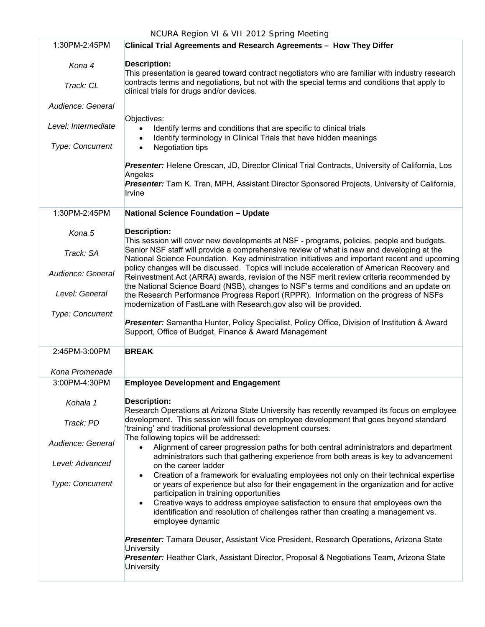| 1:30PM-2:45PM       | Clinical Trial Agreements and Research Agreements - How They Differ                                                                                                                                                                                    |
|---------------------|--------------------------------------------------------------------------------------------------------------------------------------------------------------------------------------------------------------------------------------------------------|
| Kona 4<br>Track: CL | <b>Description:</b><br>This presentation is geared toward contract negotiators who are familiar with industry research<br>contracts terms and negotiations, but not with the special terms and conditions that apply to                                |
|                     | clinical trials for drugs and/or devices.                                                                                                                                                                                                              |
| Audience: General   |                                                                                                                                                                                                                                                        |
| Level: Intermediate | Objectives:<br>Identify terms and conditions that are specific to clinical trials<br>Identify terminology in Clinical Trials that have hidden meanings<br>$\bullet$                                                                                    |
| Type: Concurrent    | Negotiation tips<br>$\bullet$                                                                                                                                                                                                                          |
|                     | Presenter: Helene Orescan, JD, Director Clinical Trial Contracts, University of California, Los<br>Angeles                                                                                                                                             |
|                     | Presenter: Tam K. Tran, MPH, Assistant Director Sponsored Projects, University of California,<br>Irvine                                                                                                                                                |
| 1:30PM-2:45PM       | <b>National Science Foundation - Update</b>                                                                                                                                                                                                            |
| Kona 5              | <b>Description:</b><br>This session will cover new developments at NSF - programs, policies, people and budgets.                                                                                                                                       |
| Track: SA           | Senior NSF staff will provide a comprehensive review of what is new and developing at the<br>National Science Foundation. Key administration initiatives and important recent and upcoming                                                             |
| Audience: General   | policy changes will be discussed. Topics will include acceleration of American Recovery and<br>Reinvestment Act (ARRA) awards, revision of the NSF merit review criteria recommended by                                                                |
| Level: General      | the National Science Board (NSB), changes to NSF's terms and conditions and an update on<br>the Research Performance Progress Report (RPPR). Information on the progress of NSFs<br>modernization of FastLane with Research.gov also will be provided. |
| Type: Concurrent    | Presenter: Samantha Hunter, Policy Specialist, Policy Office, Division of Institution & Award<br>Support, Office of Budget, Finance & Award Management                                                                                                 |
| 2:45PM-3:00PM       | <b>BREAK</b>                                                                                                                                                                                                                                           |
| Kona Promenade      |                                                                                                                                                                                                                                                        |
| 3:00PM-4:30PM       | <b>Employee Development and Engagement</b>                                                                                                                                                                                                             |
| Kohala 1            | <b>Description:</b><br>Research Operations at Arizona State University has recently revamped its focus on employee                                                                                                                                     |
| Track: PD           | development. This session will focus on employee development that goes beyond standard<br>'training' and traditional professional development courses.                                                                                                 |
| Audience: General   | The following topics will be addressed:<br>Alignment of career progression paths for both central administrators and department<br>administrators such that gathering experience from both areas is key to advancement                                 |
| Level: Advanced     | on the career ladder                                                                                                                                                                                                                                   |
| Type: Concurrent    | Creation of a framework for evaluating employees not only on their technical expertise<br>$\bullet$<br>or years of experience but also for their engagement in the organization and for active<br>participation in training opportunities              |
|                     | Creative ways to address employee satisfaction to ensure that employees own the<br>identification and resolution of challenges rather than creating a management vs.<br>employee dynamic                                                               |
|                     | Presenter: Tamara Deuser, Assistant Vice President, Research Operations, Arizona State<br>University                                                                                                                                                   |
|                     | Presenter: Heather Clark, Assistant Director, Proposal & Negotiations Team, Arizona State<br>University                                                                                                                                                |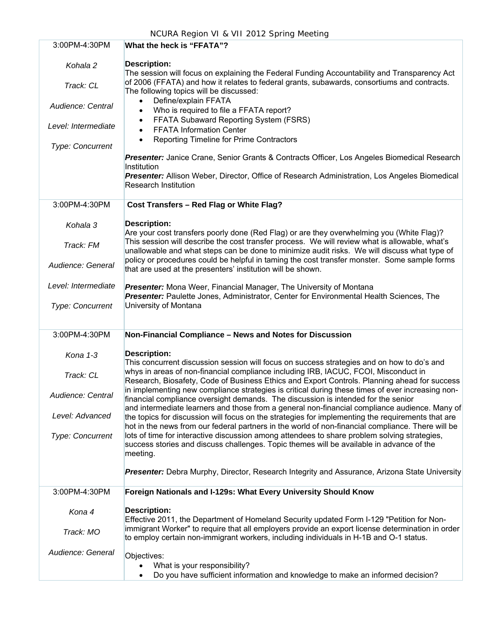| 3:00PM-4:30PM           | What the heck is "FFATA"?                                                                                                                                                                              |
|-------------------------|--------------------------------------------------------------------------------------------------------------------------------------------------------------------------------------------------------|
| Kohala 2                | <b>Description:</b>                                                                                                                                                                                    |
|                         | The session will focus on explaining the Federal Funding Accountability and Transparency Act                                                                                                           |
| Track: CL               | of 2006 (FFATA) and how it relates to federal grants, subawards, consortiums and contracts.                                                                                                            |
|                         | The following topics will be discussed:                                                                                                                                                                |
| Audience: Central       | Define/explain FFATA<br>Who is required to file a FFATA report?                                                                                                                                        |
|                         | FFATA Subaward Reporting System (FSRS)                                                                                                                                                                 |
| Level: Intermediate     | <b>FFATA Information Center</b>                                                                                                                                                                        |
| Type: Concurrent        | Reporting Timeline for Prime Contractors<br>$\bullet$                                                                                                                                                  |
|                         | Presenter: Janice Crane, Senior Grants & Contracts Officer, Los Angeles Biomedical Research                                                                                                            |
|                         | Institution                                                                                                                                                                                            |
|                         | Presenter: Allison Weber, Director, Office of Research Administration, Los Angeles Biomedical                                                                                                          |
|                         | <b>Research Institution</b>                                                                                                                                                                            |
| 3:00PM-4:30PM           | Cost Transfers - Red Flag or White Flag?                                                                                                                                                               |
| Kohala 3                | <b>Description:</b>                                                                                                                                                                                    |
|                         | Are your cost transfers poorly done (Red Flag) or are they overwhelming you (White Flag)?                                                                                                              |
| Track: FM               | This session will describe the cost transfer process. We will review what is allowable, what's<br>unallowable and what steps can be done to minimize audit risks. We will discuss what type of         |
|                         | policy or procedures could be helpful in taming the cost transfer monster. Some sample forms                                                                                                           |
| Audience: General       | that are used at the presenters' institution will be shown.                                                                                                                                            |
| Level: Intermediate     | Presenter: Mona Weer, Financial Manager, The University of Montana                                                                                                                                     |
|                         | Presenter: Paulette Jones, Administrator, Center for Environmental Health Sciences, The                                                                                                                |
| <b>Type: Concurrent</b> | University of Montana                                                                                                                                                                                  |
|                         |                                                                                                                                                                                                        |
| 3:00PM-4:30PM           | Non-Financial Compliance - News and Notes for Discussion                                                                                                                                               |
| Kona 1-3                | <b>Description:</b>                                                                                                                                                                                    |
|                         | This concurrent discussion session will focus on success strategies and on how to do's and                                                                                                             |
| Track: CL               | whys in areas of non-financial compliance including IRB, IACUC, FCOI, Misconduct in                                                                                                                    |
|                         | Research, Biosafety, Code of Business Ethics and Export Controls. Planning ahead for success<br>in implementing new compliance strategies is critical during these times of ever increasing non-       |
| Audience: Central       | financial compliance oversight demands. The discussion is intended for the senior                                                                                                                      |
| Level: Advanced         | and intermediate learners and those from a general non-financial compliance audience. Many of                                                                                                          |
|                         | the topics for discussion will focus on the strategies for implementing the requirements that are<br>hot in the news from our federal partners in the world of non-financial compliance. There will be |
| Type: Concurrent        | lots of time for interactive discussion among attendees to share problem solving strategies,                                                                                                           |
|                         | success stories and discuss challenges. Topic themes will be available in advance of the                                                                                                               |
|                         | meeting.                                                                                                                                                                                               |
|                         | Presenter: Debra Murphy, Director, Research Integrity and Assurance, Arizona State University                                                                                                          |
| 3:00PM-4:30PM           | Foreign Nationals and I-129s: What Every University Should Know                                                                                                                                        |
| Kona 4                  | <b>Description:</b>                                                                                                                                                                                    |
|                         | Effective 2011, the Department of Homeland Security updated Form I-129 "Petition for Non-                                                                                                              |
| Track: MO               | immigrant Worker" to require that all employers provide an export license determination in order<br>to employ certain non-immigrant workers, including individuals in H-1B and O-1 status.             |
|                         |                                                                                                                                                                                                        |
| Audience: General       | Objectives:                                                                                                                                                                                            |
|                         | What is your responsibility?                                                                                                                                                                           |
|                         | Do you have sufficient information and knowledge to make an informed decision?                                                                                                                         |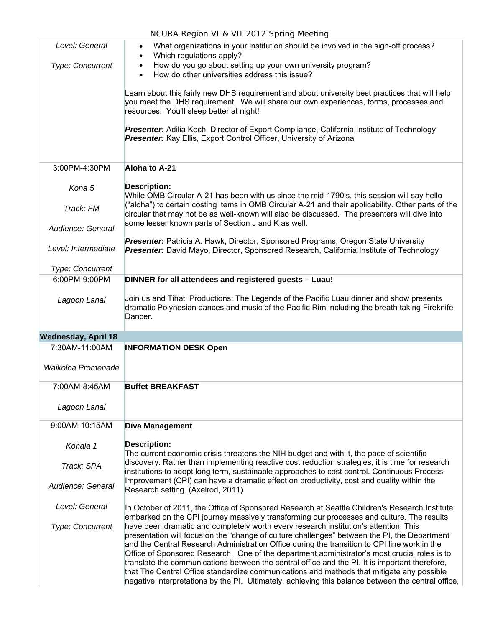|                            | NCURA Region VI & VII 2012 Spring Meeting                                                                                                                                                                                                                                                                                                                                                                                                                                              |
|----------------------------|----------------------------------------------------------------------------------------------------------------------------------------------------------------------------------------------------------------------------------------------------------------------------------------------------------------------------------------------------------------------------------------------------------------------------------------------------------------------------------------|
| Level: General             | What organizations in your institution should be involved in the sign-off process?<br>Which regulations apply?                                                                                                                                                                                                                                                                                                                                                                         |
| <b>Type: Concurrent</b>    | How do you go about setting up your own university program?<br>How do other universities address this issue?                                                                                                                                                                                                                                                                                                                                                                           |
|                            | Learn about this fairly new DHS requirement and about university best practices that will help<br>you meet the DHS requirement. We will share our own experiences, forms, processes and<br>resources. You'll sleep better at night!                                                                                                                                                                                                                                                    |
|                            | Presenter: Adilia Koch, Director of Export Compliance, California Institute of Technology<br>Presenter: Kay Ellis, Export Control Officer, University of Arizona                                                                                                                                                                                                                                                                                                                       |
| 3:00PM-4:30PM              | Aloha to A-21                                                                                                                                                                                                                                                                                                                                                                                                                                                                          |
| Kona 5                     | <b>Description:</b><br>While OMB Circular A-21 has been with us since the mid-1790's, this session will say hello                                                                                                                                                                                                                                                                                                                                                                      |
| Track: FM                  | ("aloha") to certain costing items in OMB Circular A-21 and their applicability. Other parts of the<br>circular that may not be as well-known will also be discussed. The presenters will dive into<br>some lesser known parts of Section J and K as well.                                                                                                                                                                                                                             |
| Audience: General          |                                                                                                                                                                                                                                                                                                                                                                                                                                                                                        |
| Level: Intermediate        | Presenter: Patricia A. Hawk, Director, Sponsored Programs, Oregon State University<br>Presenter: David Mayo, Director, Sponsored Research, California Institute of Technology                                                                                                                                                                                                                                                                                                          |
| Type: Concurrent           |                                                                                                                                                                                                                                                                                                                                                                                                                                                                                        |
| 6:00PM-9:00PM              | DINNER for all attendees and registered guests - Luau!                                                                                                                                                                                                                                                                                                                                                                                                                                 |
| Lagoon Lanai               | Join us and Tihati Productions: The Legends of the Pacific Luau dinner and show presents<br>dramatic Polynesian dances and music of the Pacific Rim including the breath taking Fireknife<br>Dancer.                                                                                                                                                                                                                                                                                   |
| <b>Wednesday, April 18</b> |                                                                                                                                                                                                                                                                                                                                                                                                                                                                                        |
| 7:30AM-11:00AM             | <b>INFORMATION DESK Open</b>                                                                                                                                                                                                                                                                                                                                                                                                                                                           |
| Waikoloa Promenade         |                                                                                                                                                                                                                                                                                                                                                                                                                                                                                        |
| 7:00AM-8:45AM              | <b>Buffet BREAKFAST</b>                                                                                                                                                                                                                                                                                                                                                                                                                                                                |
| Lagoon Lanai               |                                                                                                                                                                                                                                                                                                                                                                                                                                                                                        |
| 9:00AM-10:15AM             | <b>Diva Management</b>                                                                                                                                                                                                                                                                                                                                                                                                                                                                 |
| Kohala 1                   | <b>Description:</b><br>The current economic crisis threatens the NIH budget and with it, the pace of scientific                                                                                                                                                                                                                                                                                                                                                                        |
| Track: SPA                 | discovery. Rather than implementing reactive cost reduction strategies, it is time for research<br>institutions to adopt long term, sustainable approaches to cost control. Continuous Process                                                                                                                                                                                                                                                                                         |
| Audience: General          | Improvement (CPI) can have a dramatic effect on productivity, cost and quality within the<br>Research setting. (Axelrod, 2011)                                                                                                                                                                                                                                                                                                                                                         |
| Level: General             | In October of 2011, the Office of Sponsored Research at Seattle Children's Research Institute<br>embarked on the CPI journey massively transforming our processes and culture. The results                                                                                                                                                                                                                                                                                             |
| Type: Concurrent           | have been dramatic and completely worth every research institution's attention. This<br>presentation will focus on the "change of culture challenges" between the PI, the Department<br>and the Central Research Administration Office during the transition to CPI line work in the<br>Office of Sponsored Research. One of the department administrator's most crucial roles is to<br>translate the communications between the central office and the PI. It is important therefore, |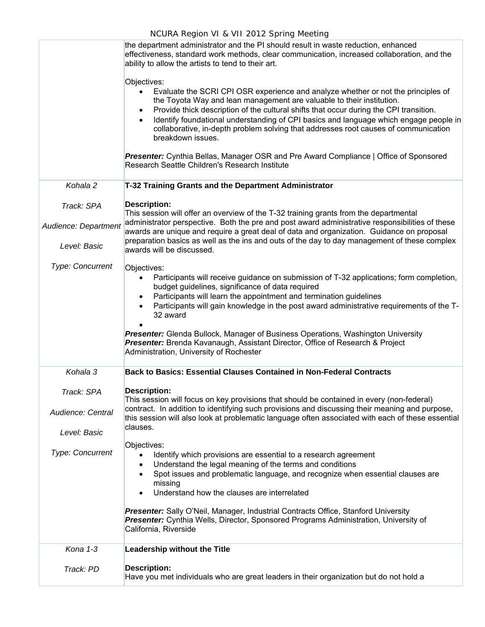|                                 | NCURA Region VI & VII 2012 Spring Meeting                                                                                                                                                                                                                                                                                                                                                                                                                                                                                               |
|---------------------------------|-----------------------------------------------------------------------------------------------------------------------------------------------------------------------------------------------------------------------------------------------------------------------------------------------------------------------------------------------------------------------------------------------------------------------------------------------------------------------------------------------------------------------------------------|
|                                 | the department administrator and the PI should result in waste reduction, enhanced<br>effectiveness, standard work methods, clear communication, increased collaboration, and the<br>ability to allow the artists to tend to their art.                                                                                                                                                                                                                                                                                                 |
|                                 | Objectives:<br>Evaluate the SCRI CPI OSR experience and analyze whether or not the principles of<br>the Toyota Way and lean management are valuable to their institution.<br>Provide thick description of the cultural shifts that occur during the CPI transition.<br>$\bullet$<br>Identify foundational understanding of CPI basics and language which engage people in<br>collaborative, in-depth problem solving that addresses root causes of communication<br>breakdown issues.                                                   |
|                                 | Presenter: Cynthia Bellas, Manager OSR and Pre Award Compliance   Office of Sponsored<br>Research Seattle Children's Research Institute                                                                                                                                                                                                                                                                                                                                                                                                 |
| Kohala 2                        | T-32 Training Grants and the Department Administrator                                                                                                                                                                                                                                                                                                                                                                                                                                                                                   |
| Track: SPA                      | <b>Description:</b><br>This session will offer an overview of the T-32 training grants from the departmental                                                                                                                                                                                                                                                                                                                                                                                                                            |
| Audience: Department            | administrator perspective. Both the pre and post award administrative responsibilities of these<br>awards are unique and require a great deal of data and organization. Guidance on proposal                                                                                                                                                                                                                                                                                                                                            |
| Level: Basic                    | preparation basics as well as the ins and outs of the day to day management of these complex<br>awards will be discussed.                                                                                                                                                                                                                                                                                                                                                                                                               |
| <b>Type: Concurrent</b>         | Objectives:<br>Participants will receive guidance on submission of T-32 applications; form completion,<br>$\bullet$<br>budget guidelines, significance of data required<br>Participants will learn the appointment and termination guidelines<br>$\bullet$<br>Participants will gain knowledge in the post award administrative requirements of the T-<br>32 award<br>Presenter: Glenda Bullock, Manager of Business Operations, Washington University<br>Presenter: Brenda Kavanaugh, Assistant Director, Office of Research & Project |
|                                 | Administration, University of Rochester                                                                                                                                                                                                                                                                                                                                                                                                                                                                                                 |
| Kohala 3                        | <b>Back to Basics: Essential Clauses Contained in Non-Federal Contracts</b>                                                                                                                                                                                                                                                                                                                                                                                                                                                             |
| Track: SPA<br>Audience: Central | <b>Description:</b><br>This session will focus on key provisions that should be contained in every (non-federal)<br>contract. In addition to identifying such provisions and discussing their meaning and purpose,<br>this session will also look at problematic language often associated with each of these essential<br>clauses.                                                                                                                                                                                                     |
| Level: Basic                    | Objectives:                                                                                                                                                                                                                                                                                                                                                                                                                                                                                                                             |
| <b>Type: Concurrent</b>         | Identify which provisions are essential to a research agreement<br>$\bullet$<br>Understand the legal meaning of the terms and conditions<br>$\bullet$<br>Spot issues and problematic language, and recognize when essential clauses are<br>missing<br>Understand how the clauses are interrelated                                                                                                                                                                                                                                       |
|                                 | <b>Presenter:</b> Sally O'Neil, Manager, Industrial Contracts Office, Stanford University<br>Presenter: Cynthia Wells, Director, Sponsored Programs Administration, University of<br>California, Riverside                                                                                                                                                                                                                                                                                                                              |
| Kona 1-3                        | <b>Leadership without the Title</b>                                                                                                                                                                                                                                                                                                                                                                                                                                                                                                     |
| Track: PD                       | <b>Description:</b><br>Have you met individuals who are great leaders in their organization but do not hold a                                                                                                                                                                                                                                                                                                                                                                                                                           |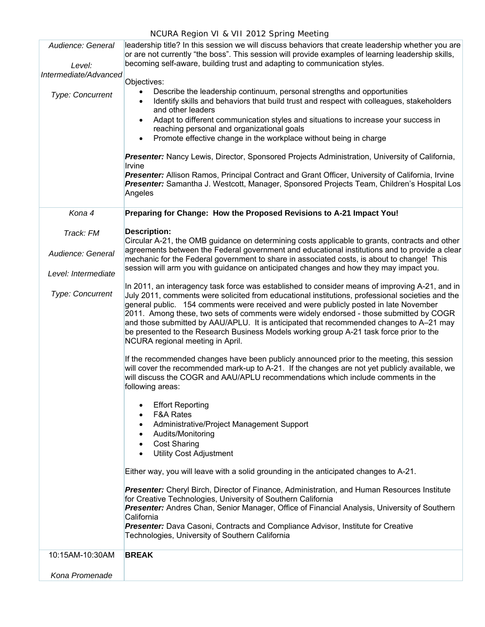| Audience: General               | leadership title? In this session we will discuss behaviors that create leadership whether you are<br>or are not currently "the boss". This session will provide examples of learning leadership skills,                                                                                                                                                                                                                                                                                                                                                                                                       |  |  |  |  |
|---------------------------------|----------------------------------------------------------------------------------------------------------------------------------------------------------------------------------------------------------------------------------------------------------------------------------------------------------------------------------------------------------------------------------------------------------------------------------------------------------------------------------------------------------------------------------------------------------------------------------------------------------------|--|--|--|--|
| Level:<br>Intermediate/Advanced | becoming self-aware, building trust and adapting to communication styles.                                                                                                                                                                                                                                                                                                                                                                                                                                                                                                                                      |  |  |  |  |
| <b>Type: Concurrent</b>         | Objectives:<br>Describe the leadership continuum, personal strengths and opportunities<br>٠<br>Identify skills and behaviors that build trust and respect with colleagues, stakeholders<br>$\bullet$<br>and other leaders<br>Adapt to different communication styles and situations to increase your success in<br>$\bullet$<br>reaching personal and organizational goals<br>Promote effective change in the workplace without being in charge<br>$\bullet$                                                                                                                                                   |  |  |  |  |
|                                 | Presenter: Nancy Lewis, Director, Sponsored Projects Administration, University of California,<br>Irvine<br>Presenter: Allison Ramos, Principal Contract and Grant Officer, University of California, Irvine<br>Presenter: Samantha J. Westcott, Manager, Sponsored Projects Team, Children's Hospital Los<br>Angeles                                                                                                                                                                                                                                                                                          |  |  |  |  |
| Kona 4                          | Preparing for Change: How the Proposed Revisions to A-21 Impact You!                                                                                                                                                                                                                                                                                                                                                                                                                                                                                                                                           |  |  |  |  |
| Track: FM                       | <b>Description:</b><br>Circular A-21, the OMB guidance on determining costs applicable to grants, contracts and other                                                                                                                                                                                                                                                                                                                                                                                                                                                                                          |  |  |  |  |
| Audience: General               | agreements between the Federal government and educational institutions and to provide a clear<br>mechanic for the Federal government to share in associated costs, is about to change! This                                                                                                                                                                                                                                                                                                                                                                                                                    |  |  |  |  |
| Level: Intermediate             | session will arm you with guidance on anticipated changes and how they may impact you.                                                                                                                                                                                                                                                                                                                                                                                                                                                                                                                         |  |  |  |  |
| Type: Concurrent                | In 2011, an interagency task force was established to consider means of improving A-21, and in<br>July 2011, comments were solicited from educational institutions, professional societies and the<br>general public. 154 comments were received and were publicly posted in late November<br>2011. Among these, two sets of comments were widely endorsed - those submitted by COGR<br>and those submitted by AAU/APLU. It is anticipated that recommended changes to A-21 may<br>be presented to the Research Business Models working group A-21 task force prior to the<br>NCURA regional meeting in April. |  |  |  |  |
|                                 | If the recommended changes have been publicly announced prior to the meeting, this session<br>will cover the recommended mark-up to A-21. If the changes are not yet publicly available, we<br>will discuss the COGR and AAU/APLU recommendations which include comments in the<br>following areas:                                                                                                                                                                                                                                                                                                            |  |  |  |  |
|                                 | <b>Effort Reporting</b><br>$\bullet$<br><b>F&amp;A Rates</b><br>$\bullet$<br>Administrative/Project Management Support<br>$\bullet$<br>Audits/Monitoring<br>$\bullet$<br><b>Cost Sharing</b><br>$\bullet$<br><b>Utility Cost Adjustment</b><br>$\bullet$                                                                                                                                                                                                                                                                                                                                                       |  |  |  |  |
|                                 | Either way, you will leave with a solid grounding in the anticipated changes to A-21.                                                                                                                                                                                                                                                                                                                                                                                                                                                                                                                          |  |  |  |  |
|                                 | Presenter: Cheryl Birch, Director of Finance, Administration, and Human Resources Institute<br>for Creative Technologies, University of Southern California<br>Presenter: Andres Chan, Senior Manager, Office of Financial Analysis, University of Southern<br>California<br>Presenter: Dava Casoni, Contracts and Compliance Advisor, Institute for Creative<br>Technologies, University of Southern California                                                                                                                                                                                               |  |  |  |  |
| 10:15AM-10:30AM                 | <b>BREAK</b>                                                                                                                                                                                                                                                                                                                                                                                                                                                                                                                                                                                                   |  |  |  |  |
| Kona Promenade                  |                                                                                                                                                                                                                                                                                                                                                                                                                                                                                                                                                                                                                |  |  |  |  |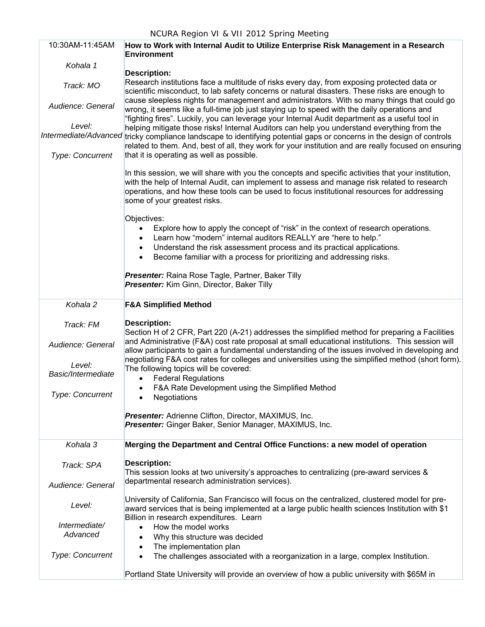| 10:30AM-11:45AM              | How to Work with Internal Audit to Utilize Enterprise Risk Management in a Research<br><b>Environment</b>                                                                                                                                                                                                                                                                  |  |  |  |
|------------------------------|----------------------------------------------------------------------------------------------------------------------------------------------------------------------------------------------------------------------------------------------------------------------------------------------------------------------------------------------------------------------------|--|--|--|
| Kohala 1                     |                                                                                                                                                                                                                                                                                                                                                                            |  |  |  |
| Track: MO                    | <b>Description:</b><br>Research institutions face a multitude of risks every day, from exposing protected data or<br>scientific misconduct, to lab safety concerns or natural disasters. These risks are enough to                                                                                                                                                         |  |  |  |
| Audience: General            | cause sleepless nights for management and administrators. With so many things that could go<br>wrong, it seems like a full-time job just staying up to speed with the daily operations and<br>"fighting fires". Luckily, you can leverage your Internal Audit department as a useful tool in                                                                               |  |  |  |
| Level:                       | helping mitigate those risks! Internal Auditors can help you understand everything from the<br>Intermediate/Advanced tricky compliance landscape to identifying potential gaps or concerns in the design of controls                                                                                                                                                       |  |  |  |
| Type: Concurrent             | related to them. And, best of all, they work for your institution and are really focused on ensuring<br>that it is operating as well as possible.                                                                                                                                                                                                                          |  |  |  |
|                              | In this session, we will share with you the concepts and specific activities that your institution,<br>with the help of Internal Audit, can implement to assess and manage risk related to research<br>operations, and how these tools can be used to focus institutional resources for addressing<br>some of your greatest risks.                                         |  |  |  |
|                              | Objectives:<br>Explore how to apply the concept of "risk" in the context of research operations.<br>$\bullet$<br>Learn how "modern" internal auditors REALLY are "here to help."<br>$\bullet$<br>Understand the risk assessment process and its practical applications.<br>$\bullet$<br>Become familiar with a process for prioritizing and addressing risks.<br>$\bullet$ |  |  |  |
|                              | Presenter: Raina Rose Tagle, Partner, Baker Tilly<br>Presenter: Kim Ginn, Director, Baker Tilly                                                                                                                                                                                                                                                                            |  |  |  |
| Kohala 2                     | <b>F&amp;A Simplified Method</b>                                                                                                                                                                                                                                                                                                                                           |  |  |  |
| Track: FM                    | <b>Description:</b><br>Section H of 2 CFR, Part 220 (A-21) addresses the simplified method for preparing a Facilities                                                                                                                                                                                                                                                      |  |  |  |
| Audience: General            | and Administrative (F&A) cost rate proposal at small educational institutions. This session will<br>allow participants to gain a fundamental understanding of the issues involved in developing and<br>negotiating F&A cost rates for colleges and universities using the simplified method (short form).                                                                  |  |  |  |
| Level:<br>Basic/Intermediate | The following topics will be covered:<br><b>Federal Regulations</b><br>$\bullet$                                                                                                                                                                                                                                                                                           |  |  |  |
| Type: Concurrent             | F&A Rate Development using the Simplified Method<br>$\bullet$<br>Negotiations<br>$\bullet$                                                                                                                                                                                                                                                                                 |  |  |  |
|                              | <b>Presenter:</b> Adrienne Clifton, Director, MAXIMUS, Inc.<br>Presenter: Ginger Baker, Senior Manager, MAXIMUS, Inc.                                                                                                                                                                                                                                                      |  |  |  |
| Kohala 3                     | Merging the Department and Central Office Functions: a new model of operation                                                                                                                                                                                                                                                                                              |  |  |  |
| Track: SPA                   | <b>Description:</b><br>This session looks at two university's approaches to centralizing (pre-award services &                                                                                                                                                                                                                                                             |  |  |  |
| Audience: General            | departmental research administration services).                                                                                                                                                                                                                                                                                                                            |  |  |  |
| Level:                       | University of California, San Francisco will focus on the centralized, clustered model for pre-<br>award services that is being implemented at a large public health sciences Institution with \$1                                                                                                                                                                         |  |  |  |
| Intermediate/<br>Advanced    | Billion in research expenditures. Learn<br>How the model works<br>$\bullet$<br>Why this structure was decided<br>$\bullet$                                                                                                                                                                                                                                                 |  |  |  |
|                              | The implementation plan<br>$\bullet$                                                                                                                                                                                                                                                                                                                                       |  |  |  |
| <b>Type: Concurrent</b>      | The challenges associated with a reorganization in a large, complex Institution.<br>$\bullet$                                                                                                                                                                                                                                                                              |  |  |  |
|                              | Portland State University will provide an overview of how a public university with \$65M in                                                                                                                                                                                                                                                                                |  |  |  |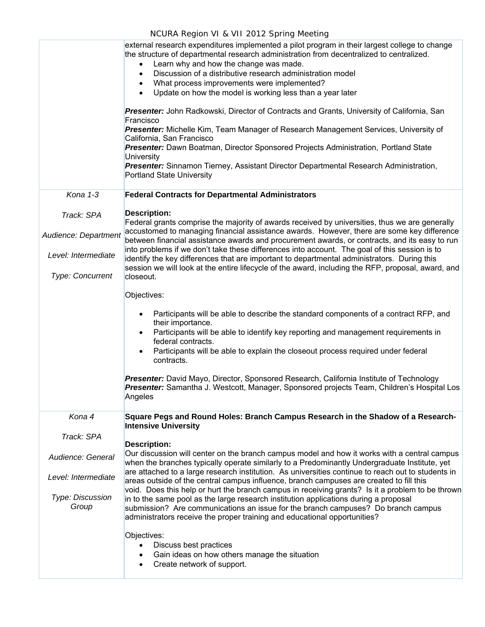|                                                                                               | external research expenditures implemented a pilot program in their largest college to change<br>the structure of departmental research administration from decentralized to centralized.<br>Learn why and how the change was made.<br>Discussion of a distributive research administration model<br>What process improvements were implemented?<br>$\bullet$<br>Update on how the model is working less than a year later<br>$\bullet$<br>Presenter: John Radkowski, Director of Contracts and Grants, University of California, San<br>Francisco<br>Presenter: Michelle Kim, Team Manager of Research Management Services, University of<br>California, San Francisco<br>Presenter: Dawn Boatman, Director Sponsored Projects Administration, Portland State<br>University<br>Presenter: Sinnamon Tierney, Assistant Director Departmental Research Administration,<br><b>Portland State University</b>                                                                                                                                                |
|-----------------------------------------------------------------------------------------------|----------------------------------------------------------------------------------------------------------------------------------------------------------------------------------------------------------------------------------------------------------------------------------------------------------------------------------------------------------------------------------------------------------------------------------------------------------------------------------------------------------------------------------------------------------------------------------------------------------------------------------------------------------------------------------------------------------------------------------------------------------------------------------------------------------------------------------------------------------------------------------------------------------------------------------------------------------------------------------------------------------------------------------------------------------|
| Kona 1-3                                                                                      | <b>Federal Contracts for Departmental Administrators</b>                                                                                                                                                                                                                                                                                                                                                                                                                                                                                                                                                                                                                                                                                                                                                                                                                                                                                                                                                                                                 |
| Track: SPA<br>Audience: Department<br>Level: Intermediate<br>Type: Concurrent                 | <b>Description:</b><br>Federal grants comprise the majority of awards received by universities, thus we are generally<br>accustomed to managing financial assistance awards. However, there are some key difference<br>between financial assistance awards and procurement awards, or contracts, and its easy to run<br>into problems if we don't take these differences into account. The goal of this session is to<br>identify the key differences that are important to departmental administrators. During this<br>session we will look at the entire lifecycle of the award, including the RFP, proposal, award, and<br>closeout.                                                                                                                                                                                                                                                                                                                                                                                                                  |
|                                                                                               | Objectives:<br>Participants will be able to describe the standard components of a contract RFP, and<br>$\bullet$<br>their importance.<br>Participants will be able to identify key reporting and management requirements in<br>$\bullet$<br>federal contracts.<br>Participants will be able to explain the closeout process required under federal<br>٠<br>contracts.<br>Presenter: David Mayo, Director, Sponsored Research, California Institute of Technology<br>Presenter: Samantha J. Westcott, Manager, Sponsored projects Team, Children's Hospital Los<br>Angeles                                                                                                                                                                                                                                                                                                                                                                                                                                                                                |
| Kona 4<br>Track: SPA<br>Audience: General<br>Level: Intermediate<br>Type: Discussion<br>Group | Square Pegs and Round Holes: Branch Campus Research in the Shadow of a Research-<br><b>Intensive University</b><br><b>Description:</b><br>Our discussion will center on the branch campus model and how it works with a central campus<br>when the branches typically operate similarly to a Predominantly Undergraduate Institute, yet<br>are attached to a large research institution. As universities continue to reach out to students in<br>areas outside of the central campus influence, branch campuses are created to fill this<br>void. Does this help or hurt the branch campus in receiving grants? Is it a problem to be thrown<br>in to the same pool as the large research institution applications during a proposal<br>submission? Are communications an issue for the branch campuses? Do branch campus<br>administrators receive the proper training and educational opportunities?<br>Objectives:<br>Discuss best practices<br>$\bullet$<br>Gain ideas on how others manage the situation<br>Create network of support.<br>$\bullet$ |